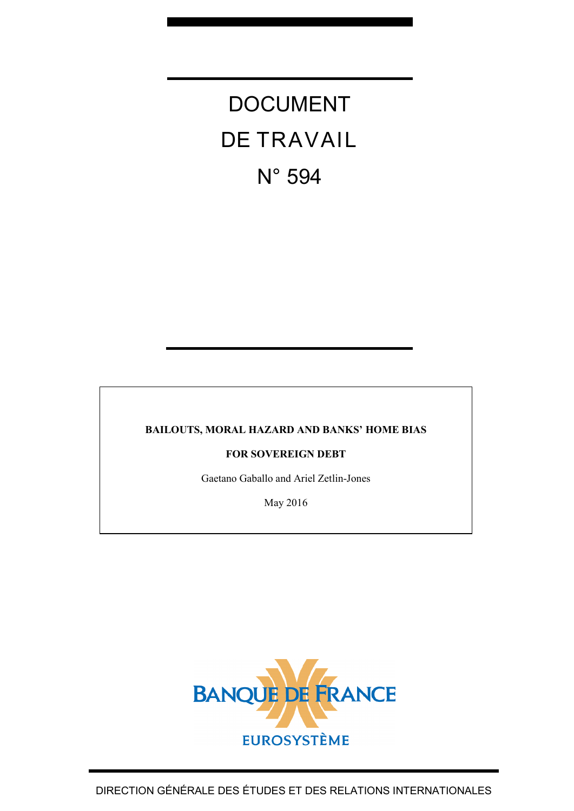DOCUMENT DE TRAVAIL N° 594

### **BAILOUTS, MORAL HAZARD AND BANKS' HOME BIAS**

### **FOR SOVEREIGN DEBT**

Gaetano Gaballo and Ariel Zetlin-Jones

May 2016

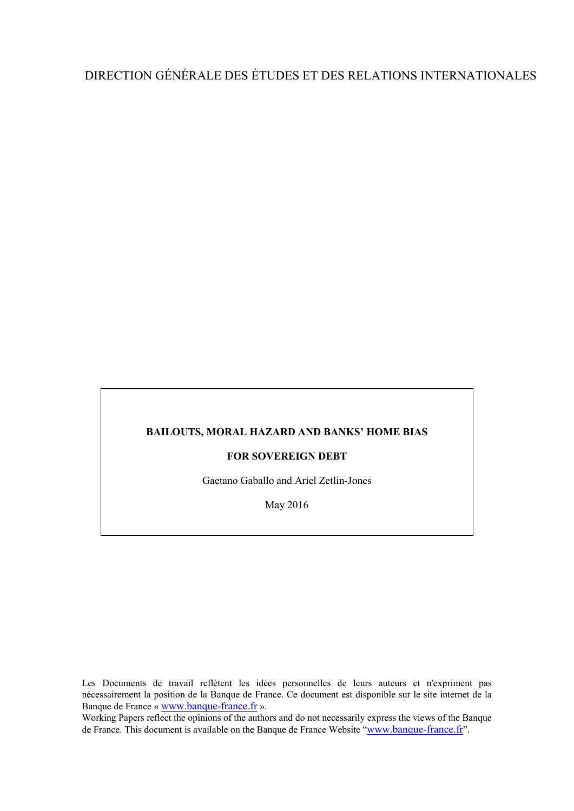## DIRECTION GÉNÉRALE DES ÉTUDES ET DES RELATIONS INTERNATIONALES

#### **BAILOUTS, MORAL HAZARD AND BANKS' HOME BIAS**

#### **FOR SOVEREIGN DEBT**

Gaetano Gaballo and Ariel Zetlin-Jones

May 2016

Les Documents de travail reflètent les idées personnelles de leurs auteurs et n'expriment pas nécessairement la position de la Banque de France. Ce document est disponible sur le site internet de la Banque de France « [www.banque-france.fr](http://www.banque-france.fr/) ».

Working Papers reflect the opinions of the authors and do not necessarily express the views of the Banque de France. This document is available on the Banque de France Website ["www.banque-france.fr"](http://www.banque-france.fr/).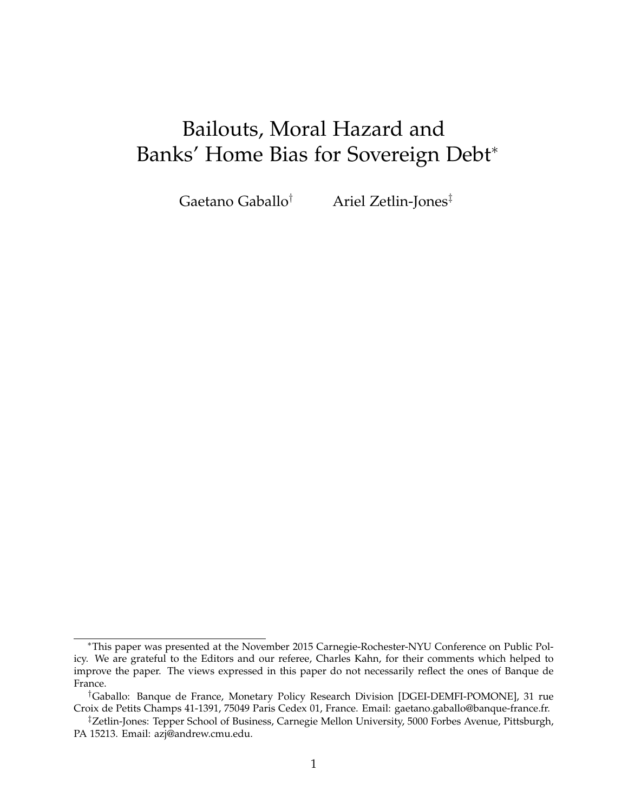# Bailouts, Moral Hazard and Banks' Home Bias for Sovereign Debt<sup>∗</sup>

Gaetano Gaballo† Ariel Zetlin-Jones‡

<sup>∗</sup>This paper was presented at the November 2015 Carnegie-Rochester-NYU Conference on Public Policy. We are grateful to the Editors and our referee, Charles Kahn, for their comments which helped to improve the paper. The views expressed in this paper do not necessarily reflect the ones of Banque de France.

<sup>†</sup>Gaballo: Banque de France, Monetary Policy Research Division [DGEI-DEMFI-POMONE], 31 rue Croix de Petits Champs 41-1391, 75049 Paris Cedex 01, France. Email: gaetano.gaballo@banque-france.fr.

<sup>‡</sup>Zetlin-Jones: Tepper School of Business, Carnegie Mellon University, 5000 Forbes Avenue, Pittsburgh, PA 15213. Email: azj@andrew.cmu.edu.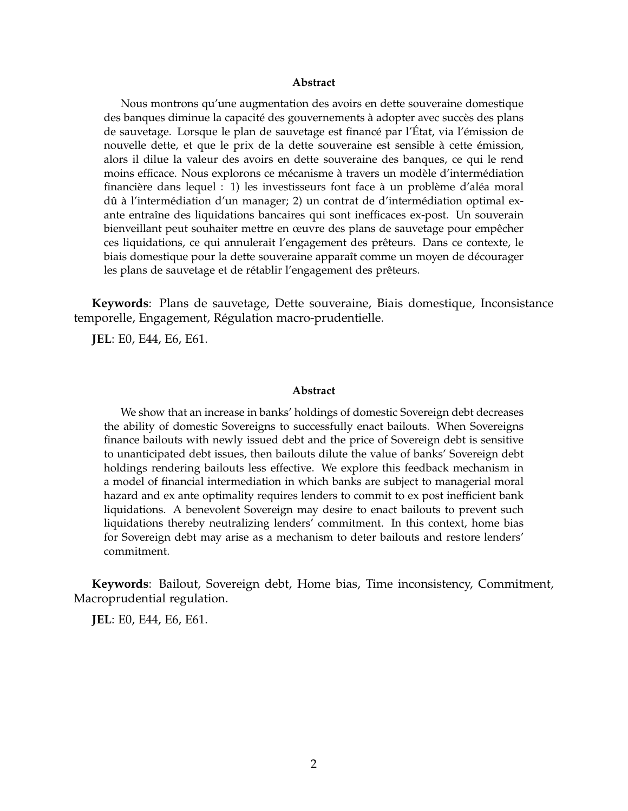#### **Abstract**

Nous montrons qu'une augmentation des avoirs en dette souveraine domestique des banques diminue la capacité des gouvernements à adopter avec succès des plans de sauvetage. Lorsque le plan de sauvetage est financé par l'État, via l'émission de nouvelle dette, et que le prix de la dette souveraine est sensible à cette émission, alors il dilue la valeur des avoirs en dette souveraine des banques, ce qui le rend moins efficace. Nous explorons ce mécanisme à travers un modèle d'intermédiation financière dans lequel : 1) les investisseurs font face à un problème d'aléa moral dû à l'intermédiation d'un manager; 2) un contrat de d'intermédiation optimal exante entraîne des liquidations bancaires qui sont inefficaces ex-post. Un souverain bienveillant peut souhaiter mettre en œuvre des plans de sauvetage pour empêcher ces liquidations, ce qui annulerait l'engagement des prêteurs. Dans ce contexte, le biais domestique pour la dette souveraine apparaît comme un moyen de décourager les plans de sauvetage et de rétablir l'engagement des prêteurs.

**Keywords**: Plans de sauvetage, Dette souveraine, Biais domestique, Inconsistance temporelle, Engagement, Régulation macro-prudentielle.

**JEL**: E0, E44, E6, E61.

#### **Abstract**

We show that an increase in banks' holdings of domestic Sovereign debt decreases the ability of domestic Sovereigns to successfully enact bailouts. When Sovereigns finance bailouts with newly issued debt and the price of Sovereign debt is sensitive to unanticipated debt issues, then bailouts dilute the value of banks' Sovereign debt holdings rendering bailouts less effective. We explore this feedback mechanism in a model of financial intermediation in which banks are subject to managerial moral hazard and ex ante optimality requires lenders to commit to ex post inefficient bank liquidations. A benevolent Sovereign may desire to enact bailouts to prevent such liquidations thereby neutralizing lenders' commitment. In this context, home bias for Sovereign debt may arise as a mechanism to deter bailouts and restore lenders' commitment.

**Keywords**: Bailout, Sovereign debt, Home bias, Time inconsistency, Commitment, Macroprudential regulation.

**JEL**: E0, E44, E6, E61.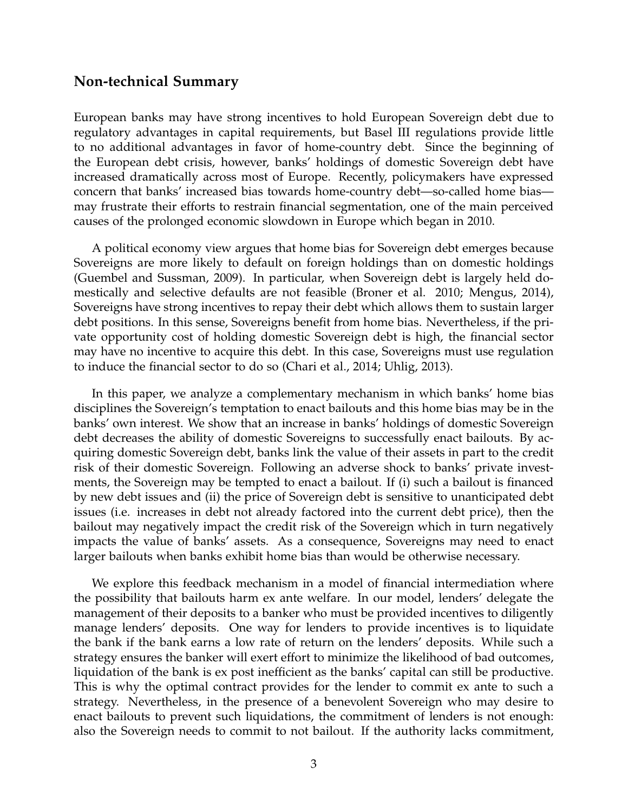### **Non-technical Summary**

European banks may have strong incentives to hold European Sovereign debt due to regulatory advantages in capital requirements, but Basel III regulations provide little to no additional advantages in favor of home-country debt. Since the beginning of the European debt crisis, however, banks' holdings of domestic Sovereign debt have increased dramatically across most of Europe. Recently, policymakers have expressed concern that banks' increased bias towards home-country debt—so-called home bias may frustrate their efforts to restrain financial segmentation, one of the main perceived causes of the prolonged economic slowdown in Europe which began in 2010.

A political economy view argues that home bias for Sovereign debt emerges because Sovereigns are more likely to default on foreign holdings than on domestic holdings (Guembel and Sussman, 2009). In particular, when Sovereign debt is largely held domestically and selective defaults are not feasible (Broner et al. 2010; Mengus, 2014), Sovereigns have strong incentives to repay their debt which allows them to sustain larger debt positions. In this sense, Sovereigns benefit from home bias. Nevertheless, if the private opportunity cost of holding domestic Sovereign debt is high, the financial sector may have no incentive to acquire this debt. In this case, Sovereigns must use regulation to induce the financial sector to do so (Chari et al., 2014; Uhlig, 2013).

In this paper, we analyze a complementary mechanism in which banks' home bias disciplines the Sovereign's temptation to enact bailouts and this home bias may be in the banks' own interest. We show that an increase in banks' holdings of domestic Sovereign debt decreases the ability of domestic Sovereigns to successfully enact bailouts. By acquiring domestic Sovereign debt, banks link the value of their assets in part to the credit risk of their domestic Sovereign. Following an adverse shock to banks' private investments, the Sovereign may be tempted to enact a bailout. If (i) such a bailout is financed by new debt issues and (ii) the price of Sovereign debt is sensitive to unanticipated debt issues (i.e. increases in debt not already factored into the current debt price), then the bailout may negatively impact the credit risk of the Sovereign which in turn negatively impacts the value of banks' assets. As a consequence, Sovereigns may need to enact larger bailouts when banks exhibit home bias than would be otherwise necessary.

We explore this feedback mechanism in a model of financial intermediation where the possibility that bailouts harm ex ante welfare. In our model, lenders' delegate the management of their deposits to a banker who must be provided incentives to diligently manage lenders' deposits. One way for lenders to provide incentives is to liquidate the bank if the bank earns a low rate of return on the lenders' deposits. While such a strategy ensures the banker will exert effort to minimize the likelihood of bad outcomes, liquidation of the bank is ex post inefficient as the banks' capital can still be productive. This is why the optimal contract provides for the lender to commit ex ante to such a strategy. Nevertheless, in the presence of a benevolent Sovereign who may desire to enact bailouts to prevent such liquidations, the commitment of lenders is not enough: also the Sovereign needs to commit to not bailout. If the authority lacks commitment,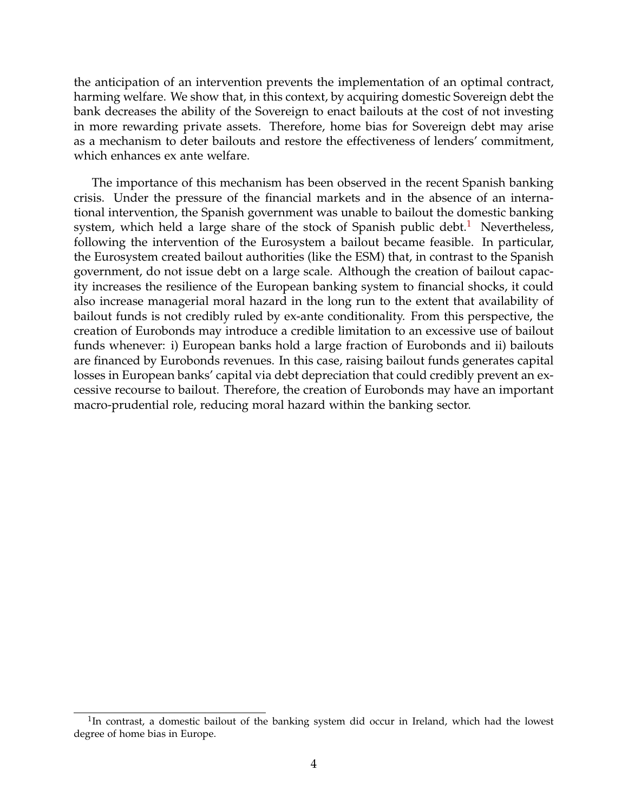the anticipation of an intervention prevents the implementation of an optimal contract, harming welfare. We show that, in this context, by acquiring domestic Sovereign debt the bank decreases the ability of the Sovereign to enact bailouts at the cost of not investing in more rewarding private assets. Therefore, home bias for Sovereign debt may arise as a mechanism to deter bailouts and restore the effectiveness of lenders' commitment, which enhances ex ante welfare.

The importance of this mechanism has been observed in the recent Spanish banking crisis. Under the pressure of the financial markets and in the absence of an international intervention, the Spanish government was unable to bailout the domestic banking system, which held a large share of the stock of Spanish public debt.<sup>[1](#page-5-0)</sup> Nevertheless, following the intervention of the Eurosystem a bailout became feasible. In particular, the Eurosystem created bailout authorities (like the ESM) that, in contrast to the Spanish government, do not issue debt on a large scale. Although the creation of bailout capacity increases the resilience of the European banking system to financial shocks, it could also increase managerial moral hazard in the long run to the extent that availability of bailout funds is not credibly ruled by ex-ante conditionality. From this perspective, the creation of Eurobonds may introduce a credible limitation to an excessive use of bailout funds whenever: i) European banks hold a large fraction of Eurobonds and ii) bailouts are financed by Eurobonds revenues. In this case, raising bailout funds generates capital losses in European banks' capital via debt depreciation that could credibly prevent an excessive recourse to bailout. Therefore, the creation of Eurobonds may have an important macro-prudential role, reducing moral hazard within the banking sector.

<span id="page-5-0"></span><sup>&</sup>lt;sup>1</sup>In contrast, a domestic bailout of the banking system did occur in Ireland, which had the lowest degree of home bias in Europe.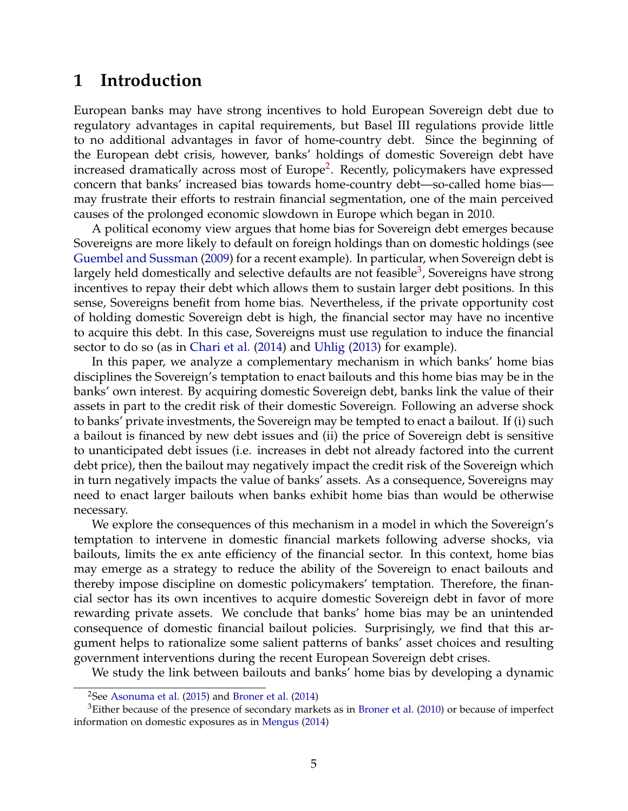## <span id="page-6-2"></span>**1 Introduction**

European banks may have strong incentives to hold European Sovereign debt due to regulatory advantages in capital requirements, but Basel III regulations provide little to no additional advantages in favor of home-country debt. Since the beginning of the European debt crisis, however, banks' holdings of domestic Sovereign debt have increased dramatically across most of Europe<sup>[2](#page-6-0)</sup>. Recently, policymakers have expressed concern that banks' increased bias towards home-country debt—so-called home bias may frustrate their efforts to restrain financial segmentation, one of the main perceived causes of the prolonged economic slowdown in Europe which began in 2010.

A political economy view argues that home bias for Sovereign debt emerges because Sovereigns are more likely to default on foreign holdings than on domestic holdings (see [Guembel and Sussman](#page-30-0) [\(2009\)](#page-30-0) for a recent example). In particular, when Sovereign debt is largely held domestically and selective defaults are not feasible<sup>[3](#page-6-1)</sup>, Sovereigns have strong incentives to repay their debt which allows them to sustain larger debt positions. In this sense, Sovereigns benefit from home bias. Nevertheless, if the private opportunity cost of holding domestic Sovereign debt is high, the financial sector may have no incentive to acquire this debt. In this case, Sovereigns must use regulation to induce the financial sector to do so (as in [Chari et al.](#page-30-1) [\(2014\)](#page-30-1) and [Uhlig](#page-31-0) [\(2013\)](#page-31-0) for example).

In this paper, we analyze a complementary mechanism in which banks' home bias disciplines the Sovereign's temptation to enact bailouts and this home bias may be in the banks' own interest. By acquiring domestic Sovereign debt, banks link the value of their assets in part to the credit risk of their domestic Sovereign. Following an adverse shock to banks' private investments, the Sovereign may be tempted to enact a bailout. If (i) such a bailout is financed by new debt issues and (ii) the price of Sovereign debt is sensitive to unanticipated debt issues (i.e. increases in debt not already factored into the current debt price), then the bailout may negatively impact the credit risk of the Sovereign which in turn negatively impacts the value of banks' assets. As a consequence, Sovereigns may need to enact larger bailouts when banks exhibit home bias than would be otherwise necessary.

We explore the consequences of this mechanism in a model in which the Sovereign's temptation to intervene in domestic financial markets following adverse shocks, via bailouts, limits the ex ante efficiency of the financial sector. In this context, home bias may emerge as a strategy to reduce the ability of the Sovereign to enact bailouts and thereby impose discipline on domestic policymakers' temptation. Therefore, the financial sector has its own incentives to acquire domestic Sovereign debt in favor of more rewarding private assets. We conclude that banks' home bias may be an unintended consequence of domestic financial bailout policies. Surprisingly, we find that this argument helps to rationalize some salient patterns of banks' asset choices and resulting government interventions during the recent European Sovereign debt crises.

We study the link between bailouts and banks' home bias by developing a dynamic

<span id="page-6-1"></span><span id="page-6-0"></span><sup>2</sup>See [Asonuma et al.](#page-30-2) [\(2015\)](#page-30-2) and [Broner et al.](#page-30-3) [\(2014\)](#page-30-3)

<sup>&</sup>lt;sup>3</sup>Either because of the presence of secondary markets as in [Broner et al.](#page-30-4) [\(2010\)](#page-30-4) or because of imperfect information on domestic exposures as in [Mengus](#page-31-1) [\(2014\)](#page-31-1)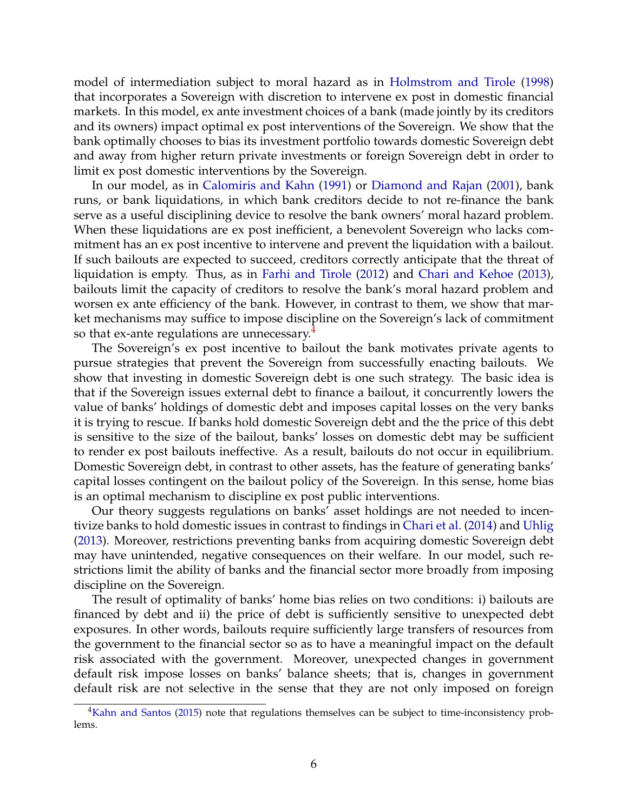<span id="page-7-1"></span>model of intermediation subject to moral hazard as in [Holmstrom and Tirole](#page-31-2) [\(1998\)](#page-31-2) that incorporates a Sovereign with discretion to intervene ex post in domestic financial markets. In this model, ex ante investment choices of a bank (made jointly by its creditors and its owners) impact optimal ex post interventions of the Sovereign. We show that the bank optimally chooses to bias its investment portfolio towards domestic Sovereign debt and away from higher return private investments or foreign Sovereign debt in order to limit ex post domestic interventions by the Sovereign.

In our model, as in [Calomiris and Kahn](#page-30-5) [\(1991\)](#page-30-5) or [Diamond and Rajan](#page-30-6) [\(2001\)](#page-30-6), bank runs, or bank liquidations, in which bank creditors decide to not re-finance the bank serve as a useful disciplining device to resolve the bank owners' moral hazard problem. When these liquidations are ex post inefficient, a benevolent Sovereign who lacks commitment has an ex post incentive to intervene and prevent the liquidation with a bailout. If such bailouts are expected to succeed, creditors correctly anticipate that the threat of liquidation is empty. Thus, as in [Farhi and Tirole](#page-30-7) [\(2012\)](#page-30-7) and [Chari and Kehoe](#page-30-8) [\(2013\)](#page-30-8), bailouts limit the capacity of creditors to resolve the bank's moral hazard problem and worsen ex ante efficiency of the bank. However, in contrast to them, we show that market mechanisms may suffice to impose discipline on the Sovereign's lack of commitment so that ex-ante regulations are unnecessary. $4$ 

The Sovereign's ex post incentive to bailout the bank motivates private agents to pursue strategies that prevent the Sovereign from successfully enacting bailouts. We show that investing in domestic Sovereign debt is one such strategy. The basic idea is that if the Sovereign issues external debt to finance a bailout, it concurrently lowers the value of banks' holdings of domestic debt and imposes capital losses on the very banks it is trying to rescue. If banks hold domestic Sovereign debt and the the price of this debt is sensitive to the size of the bailout, banks' losses on domestic debt may be sufficient to render ex post bailouts ineffective. As a result, bailouts do not occur in equilibrium. Domestic Sovereign debt, in contrast to other assets, has the feature of generating banks' capital losses contingent on the bailout policy of the Sovereign. In this sense, home bias is an optimal mechanism to discipline ex post public interventions.

Our theory suggests regulations on banks' asset holdings are not needed to incentivize banks to hold domestic issues in contrast to findings in [Chari et al.](#page-30-1) [\(2014\)](#page-30-1) and [Uhlig](#page-31-0) [\(2013\)](#page-31-0). Moreover, restrictions preventing banks from acquiring domestic Sovereign debt may have unintended, negative consequences on their welfare. In our model, such restrictions limit the ability of banks and the financial sector more broadly from imposing discipline on the Sovereign.

The result of optimality of banks' home bias relies on two conditions: i) bailouts are financed by debt and ii) the price of debt is sufficiently sensitive to unexpected debt exposures. In other words, bailouts require sufficiently large transfers of resources from the government to the financial sector so as to have a meaningful impact on the default risk associated with the government. Moreover, unexpected changes in government default risk impose losses on banks' balance sheets; that is, changes in government default risk are not selective in the sense that they are not only imposed on foreign

<span id="page-7-0"></span><sup>&</sup>lt;sup>4</sup>[Kahn and Santos](#page-31-3) [\(2015\)](#page-31-3) note that regulations themselves can be subject to time-inconsistency problems.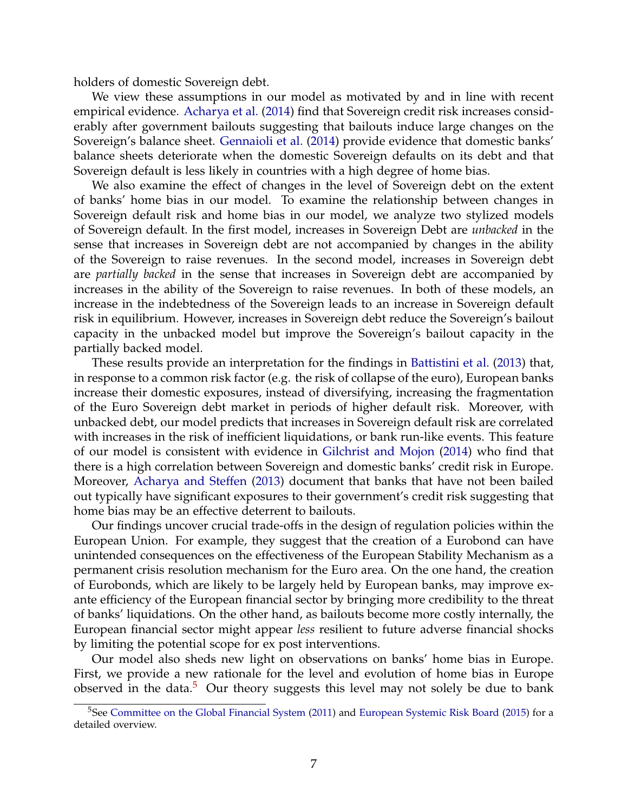<span id="page-8-1"></span>holders of domestic Sovereign debt.

We view these assumptions in our model as motivated by and in line with recent empirical evidence. [Acharya et al.](#page-30-9) [\(2014\)](#page-30-9) find that Sovereign credit risk increases considerably after government bailouts suggesting that bailouts induce large changes on the Sovereign's balance sheet. [Gennaioli et al.](#page-30-10) [\(2014\)](#page-30-10) provide evidence that domestic banks' balance sheets deteriorate when the domestic Sovereign defaults on its debt and that Sovereign default is less likely in countries with a high degree of home bias.

We also examine the effect of changes in the level of Sovereign debt on the extent of banks' home bias in our model. To examine the relationship between changes in Sovereign default risk and home bias in our model, we analyze two stylized models of Sovereign default. In the first model, increases in Sovereign Debt are *unbacked* in the sense that increases in Sovereign debt are not accompanied by changes in the ability of the Sovereign to raise revenues. In the second model, increases in Sovereign debt are *partially backed* in the sense that increases in Sovereign debt are accompanied by increases in the ability of the Sovereign to raise revenues. In both of these models, an increase in the indebtedness of the Sovereign leads to an increase in Sovereign default risk in equilibrium. However, increases in Sovereign debt reduce the Sovereign's bailout capacity in the unbacked model but improve the Sovereign's bailout capacity in the partially backed model.

These results provide an interpretation for the findings in [Battistini et al.](#page-30-11) [\(2013\)](#page-30-11) that, in response to a common risk factor (e.g. the risk of collapse of the euro), European banks increase their domestic exposures, instead of diversifying, increasing the fragmentation of the Euro Sovereign debt market in periods of higher default risk. Moreover, with unbacked debt, our model predicts that increases in Sovereign default risk are correlated with increases in the risk of inefficient liquidations, or bank run-like events. This feature of our model is consistent with evidence in [Gilchrist and Mojon](#page-30-12) [\(2014\)](#page-30-12) who find that there is a high correlation between Sovereign and domestic banks' credit risk in Europe. Moreover, [Acharya and Steffen](#page-30-13) [\(2013\)](#page-30-13) document that banks that have not been bailed out typically have significant exposures to their government's credit risk suggesting that home bias may be an effective deterrent to bailouts.

Our findings uncover crucial trade-offs in the design of regulation policies within the European Union. For example, they suggest that the creation of a Eurobond can have unintended consequences on the effectiveness of the European Stability Mechanism as a permanent crisis resolution mechanism for the Euro area. On the one hand, the creation of Eurobonds, which are likely to be largely held by European banks, may improve exante efficiency of the European financial sector by bringing more credibility to the threat of banks' liquidations. On the other hand, as bailouts become more costly internally, the European financial sector might appear *less* resilient to future adverse financial shocks by limiting the potential scope for ex post interventions.

Our model also sheds new light on observations on banks' home bias in Europe. First, we provide a new rationale for the level and evolution of home bias in Europe observed in the data.<sup>[5](#page-8-0)</sup> Our theory suggests this level may not solely be due to bank

<span id="page-8-0"></span><sup>&</sup>lt;sup>5</sup>See [Committee on the Global Financial System](#page-31-4) [\(2011\)](#page-31-4) and [European Systemic Risk Board](#page-31-5) [\(2015\)](#page-31-5) for a detailed overview.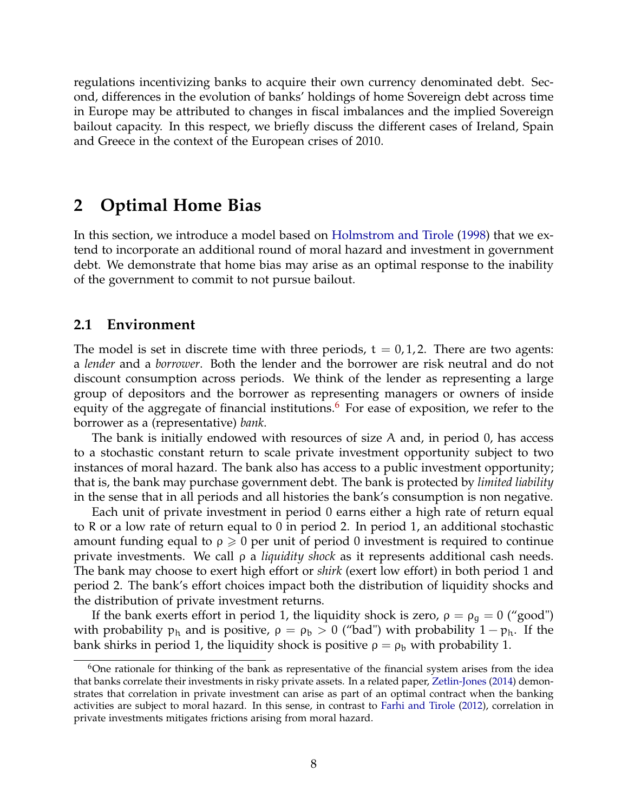<span id="page-9-1"></span>regulations incentivizing banks to acquire their own currency denominated debt. Second, differences in the evolution of banks' holdings of home Sovereign debt across time in Europe may be attributed to changes in fiscal imbalances and the implied Sovereign bailout capacity. In this respect, we briefly discuss the different cases of Ireland, Spain and Greece in the context of the European crises of 2010.

## **2 Optimal Home Bias**

In this section, we introduce a model based on [Holmstrom and Tirole](#page-31-2) [\(1998\)](#page-31-2) that we extend to incorporate an additional round of moral hazard and investment in government debt. We demonstrate that home bias may arise as an optimal response to the inability of the government to commit to not pursue bailout.

### **2.1 Environment**

The model is set in discrete time with three periods,  $t = 0, 1, 2$ . There are two agents: a *lender* and a *borrower*. Both the lender and the borrower are risk neutral and do not discount consumption across periods. We think of the lender as representing a large group of depositors and the borrower as representing managers or owners of inside equity of the aggregate of financial institutions.<sup>[6](#page-9-0)</sup> For ease of exposition, we refer to the borrower as a (representative) *bank*.

The bank is initially endowed with resources of size A and, in period 0, has access to a stochastic constant return to scale private investment opportunity subject to two instances of moral hazard. The bank also has access to a public investment opportunity; that is, the bank may purchase government debt. The bank is protected by *limited liability* in the sense that in all periods and all histories the bank's consumption is non negative.

Each unit of private investment in period 0 earns either a high rate of return equal to R or a low rate of return equal to 0 in period 2. In period 1, an additional stochastic amount funding equal to  $\rho \geq 0$  per unit of period 0 investment is required to continue private investments. We call ρ a *liquidity shock* as it represents additional cash needs. The bank may choose to exert high effort or *shirk* (exert low effort) in both period 1 and period 2. The bank's effort choices impact both the distribution of liquidity shocks and the distribution of private investment returns.

If the bank exerts effort in period 1, the liquidity shock is zero,  $\rho = \rho_q = 0$  ("good") with probability  $p_h$  and is positive,  $\rho = \rho_b > 0$  ("bad") with probability  $1 - p_h$ . If the bank shirks in period 1, the liquidity shock is positive  $\rho = \rho_b$  with probability 1.

<span id="page-9-0"></span> $6$ One rationale for thinking of the bank as representative of the financial system arises from the idea that banks correlate their investments in risky private assets. In a related paper, [Zetlin-Jones](#page-31-6) [\(2014\)](#page-31-6) demonstrates that correlation in private investment can arise as part of an optimal contract when the banking activities are subject to moral hazard. In this sense, in contrast to [Farhi and Tirole](#page-30-7) [\(2012\)](#page-30-7), correlation in private investments mitigates frictions arising from moral hazard.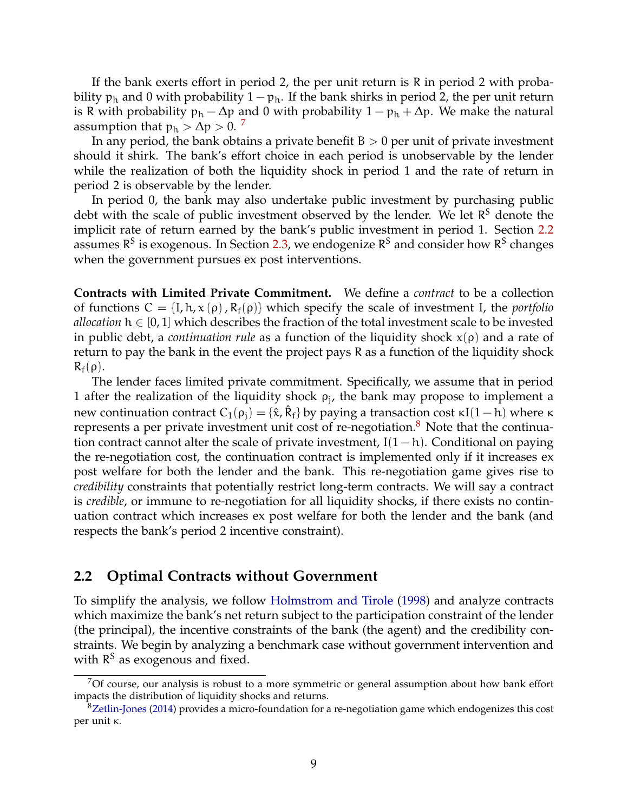<span id="page-10-4"></span>If the bank exerts effort in period 2, the per unit return is R in period 2 with probability  $p_h$  and 0 with probability  $1 - p_h$ . If the bank shirks in period 2, the per unit return is R with probability  $p_h - \Delta p$  and 0 with probability  $1 - p_h + \Delta p$ . We make the natural assumption that  $p_h > \Delta p > 0$ . [7](#page-10-0)

In any period, the bank obtains a private benefit  $B > 0$  per unit of private investment should it shirk. The bank's effort choice in each period is unobservable by the lender while the realization of both the liquidity shock in period 1 and the rate of return in period 2 is observable by the lender.

In period 0, the bank may also undertake public investment by purchasing public debt with the scale of public investment observed by the lender. We let  $R<sup>S</sup>$  denote the implicit rate of return earned by the bank's public investment in period 1. Section [2.2](#page-10-1) assumes R<sup>S</sup> is exogenous. In Section [2.3,](#page-15-0) we endogenize R<sup>S</sup> and consider how R<sup>S</sup> changes when the government pursues ex post interventions.

**Contracts with Limited Private Commitment.** We define a *contract* to be a collection of functions  $C = \{I, h, x(\rho), R_f(\rho)\}\$  which specify the scale of investment I, the *portfolio allocation*  $h \in [0, 1]$  which describes the fraction of the total investment scale to be invested in public debt, a *continuation rule* as a function of the liquidity shock x(ρ) and a rate of return to pay the bank in the event the project pays R as a function of the liquidity shock  $R_f(\rho)$ .

The lender faces limited private commitment. Specifically, we assume that in period 1 after the realization of the liquidity shock  $\rho_j$ , the bank may propose to implement a new continuation contract  $C_1(\rho_j) = \{\hat{x}, \hat{R}_f\}$  by paying a transaction cost κI(1 – h) where κ represents a per private investment unit cost of re-negotiation. $8$  Note that the continuation contract cannot alter the scale of private investment,  $I(1-h)$ . Conditional on paying the re-negotiation cost, the continuation contract is implemented only if it increases ex post welfare for both the lender and the bank. This re-negotiation game gives rise to *credibility* constraints that potentially restrict long-term contracts. We will say a contract is *credible*, or immune to re-negotiation for all liquidity shocks, if there exists no continuation contract which increases ex post welfare for both the lender and the bank (and respects the bank's period 2 incentive constraint).

### <span id="page-10-1"></span>**2.2 Optimal Contracts without Government**

To simplify the analysis, we follow [Holmstrom and Tirole](#page-31-2) [\(1998\)](#page-31-2) and analyze contracts which maximize the bank's net return subject to the participation constraint of the lender (the principal), the incentive constraints of the bank (the agent) and the credibility constraints. We begin by analyzing a benchmark case without government intervention and with R<sup>S</sup> as exogenous and fixed.

<span id="page-10-3"></span><span id="page-10-0"></span> $\%$ Of course, our analysis is robust to a more symmetric or general assumption about how bank effort impacts the distribution of liquidity shocks and returns.

<span id="page-10-2"></span> ${}^{8}$ [Zetlin-Jones](#page-31-6) [\(2014\)](#page-31-6) provides a micro-foundation for a re-negotiation game which endogenizes this cost per unit κ.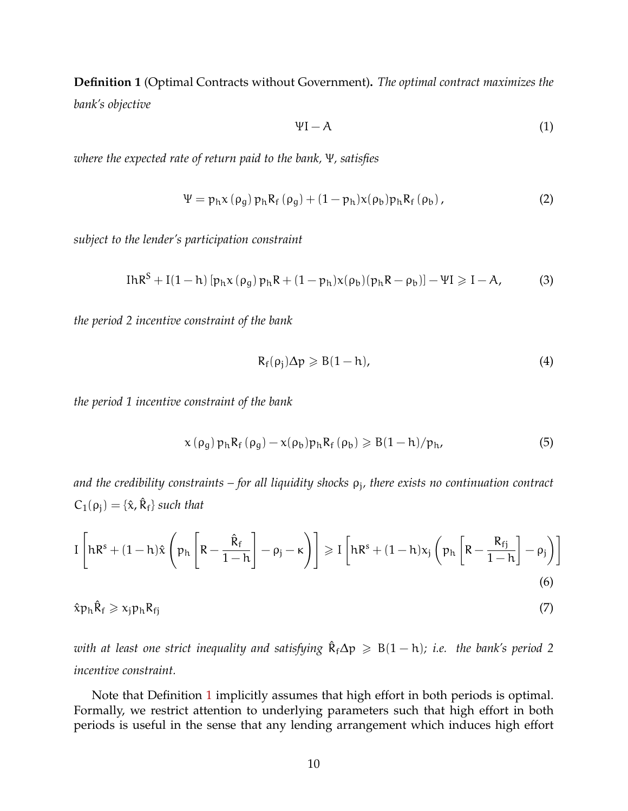**Definition 1** (Optimal Contracts without Government)**.** *The optimal contract maximizes the bank's objective*

<span id="page-11-3"></span>
$$
\Psi I - A \tag{1}
$$

*where the expected rate of return paid to the bank,* Ψ*, satisfies*

$$
\Psi = p_h x \left( \rho_g \right) p_h R_f \left( \rho_g \right) + (1 - p_h) x \left( \rho_b \right) p_h R_f \left( \rho_b \right), \tag{2}
$$

*subject to the lender's participation constraint*

<span id="page-11-2"></span>
$$
I h R^S + I(1-h) \left[ p_h x \left( \rho_g \right) p_h R + (1-p_h) x (\rho_b) (p_h R - \rho_b) \right] - \Psi I \geqslant I - A,\tag{3}
$$

*the period 2 incentive constraint of the bank*

<span id="page-11-0"></span>
$$
R_f(\rho_j)\Delta p \geqslant B(1-h),\tag{4}
$$

*the period 1 incentive constraint of the bank*

<span id="page-11-1"></span>
$$
x(\rho_g) p_h R_f(\rho_g) - x(\rho_b) p_h R_f(\rho_b) \geqslant B(1-h)/p_h,\tag{5}
$$

*and the credibility constraints – for all liquidity shocks* ρ<sup>j</sup> *, there exists no continuation contract*  $C_1(\rho_j) = {\hat{\mathbf{x}}, \hat{\mathbf{R}}_f}$  such that

$$
I\left[hR^s + (1-h)\hat{x}\left(p_h\left[R - \frac{\hat{R}_f}{1-h}\right] - \rho_j - \kappa\right)\right] \ge I\left[hR^s + (1-h)x_j\left(p_h\left[R - \frac{R_{fj}}{1-h}\right] - \rho_j\right)\right]
$$
\n(6)

 $\hat{x}p_h\hat{R}_f \geq x_jp_hR_{fj}$  (7)

 $\:$   $with$   $at$   $least$   $one$   $strict$   $inequality$   $and$   $satisfying$   $\hat{\mathsf{R}}_{\mathrm{f}}\Delta\mathrm{p}$   $\geqslant$   $\mathrm{B}(1-\mathrm{h});$   $i.e.$   $\:$   $the$   $\;bank's$   $\;period$   $2$ *incentive constraint.*

Note that Definition [1](#page-10-3) implicitly assumes that high effort in both periods is optimal. Formally, we restrict attention to underlying parameters such that high effort in both periods is useful in the sense that any lending arrangement which induces high effort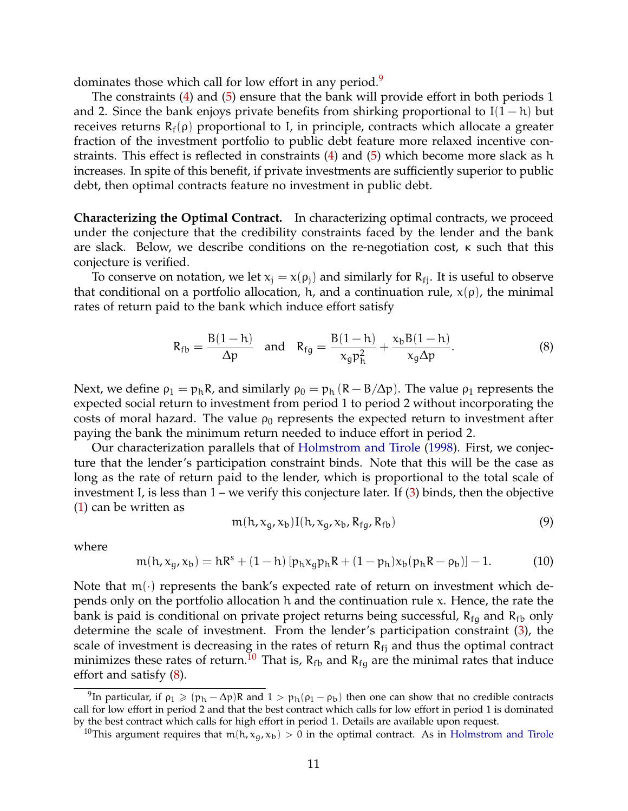<span id="page-12-4"></span>dominates those which call for low effort in any period.<sup>[9](#page-12-0)</sup>

The constraints [\(4\)](#page-11-0) and [\(5\)](#page-11-1) ensure that the bank will provide effort in both periods 1 and 2. Since the bank enjoys private benefits from shirking proportional to  $I(1-h)$  but receives returns  $R_f(\rho)$  proportional to I, in principle, contracts which allocate a greater fraction of the investment portfolio to public debt feature more relaxed incentive constraints. This effect is reflected in constraints [\(4\)](#page-11-0) and [\(5\)](#page-11-1) which become more slack as h increases. In spite of this benefit, if private investments are sufficiently superior to public debt, then optimal contracts feature no investment in public debt.

**Characterizing the Optimal Contract.** In characterizing optimal contracts, we proceed under the conjecture that the credibility constraints faced by the lender and the bank are slack. Below, we describe conditions on the re-negotiation cost, κ such that this conjecture is verified.

To conserve on notation, we let  $x_i = x(\rho_i)$  and similarly for  $R_{fi}$ . It is useful to observe that conditional on a portfolio allocation, h, and a continuation rule,  $x(\rho)$ , the minimal rates of return paid to the bank which induce effort satisfy

<span id="page-12-2"></span>
$$
R_{fb} = \frac{B(1-h)}{\Delta p}
$$
 and  $R_{fg} = \frac{B(1-h)}{x_g p_h^2} + \frac{x_b B(1-h)}{x_g \Delta p}$ . (8)

Next, we define  $\rho_1 = p_h R$ , and similarly  $\rho_0 = p_h (R - B/\Delta p)$ . The value  $\rho_1$  represents the expected social return to investment from period 1 to period 2 without incorporating the costs of moral hazard. The value  $\rho_0$  represents the expected return to investment after paying the bank the minimum return needed to induce effort in period 2.

Our characterization parallels that of [Holmstrom and Tirole](#page-31-2) [\(1998\)](#page-31-2). First, we conjecture that the lender's participation constraint binds. Note that this will be the case as long as the rate of return paid to the lender, which is proportional to the total scale of investment I, is less than  $1$  – we verify this conjecture later. If  $(3)$  binds, then the objective [\(1\)](#page-11-3) can be written as

$$
m(h, x_g, x_b)I(h, x_g, x_b, R_{fg}, R_{fb})
$$
\n(9)

where

<span id="page-12-3"></span>
$$
m(h, x_g, x_b) = hR^s + (1 - h) \left[ p_h x_g p_h R + (1 - p_h) x_b (p_h R - \rho_b) \right] - 1. \tag{10}
$$

Note that  $m(\cdot)$  represents the bank's expected rate of return on investment which depends only on the portfolio allocation h and the continuation rule x. Hence, the rate the bank is paid is conditional on private project returns being successful,  $R_{fa}$  and  $R_{fb}$  only determine the scale of investment. From the lender's participation constraint [\(3\)](#page-11-2), the scale of investment is decreasing in the rates of return  $R_{fj}$  and thus the optimal contract minimizes these rates of return.<sup>[10](#page-12-1)</sup> That is, R<sub>fb</sub> and R<sub>fq</sub> are the minimal rates that induce effort and satisfy [\(8\)](#page-12-2).

<span id="page-12-0"></span><sup>&</sup>lt;sup>9</sup>In particular, if  $\rho_1 \geqslant (p_h - \Delta p)R$  and  $1 > p_h(\rho_1 - \rho_b)$  then one can show that no credible contracts call for low effort in period 2 and that the best contract which calls for low effort in period 1 is dominated by the best contract which calls for high effort in period 1. Details are available upon request.

<span id="page-12-1"></span><sup>&</sup>lt;sup>10</sup>This argument requires that  $m(h, x_g, x_b) > 0$  in the optimal contract. As in [Holmstrom and Tirole](#page-31-2)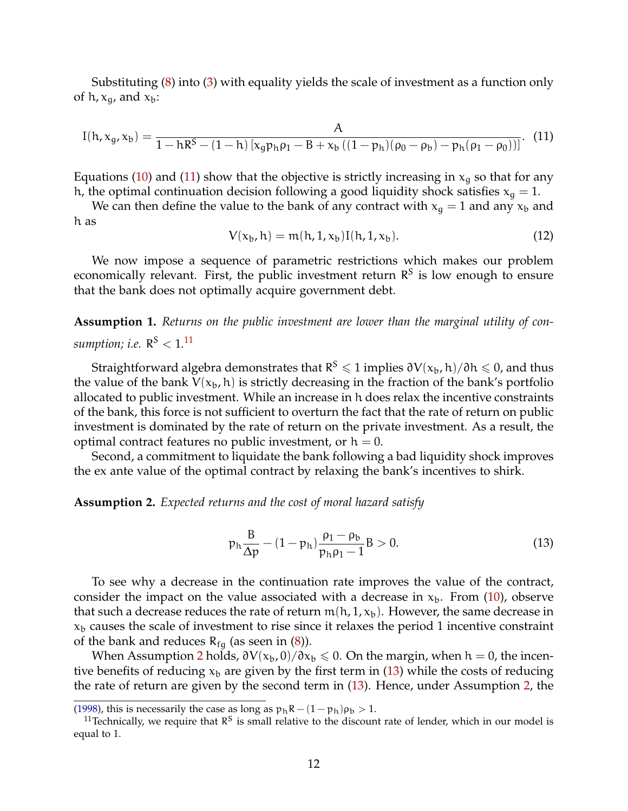Substituting [\(8\)](#page-12-2) into [\(3\)](#page-11-2) with equality yields the scale of investment as a function only of h,  $x_q$ , and  $x_b$ :

<span id="page-13-0"></span>
$$
I(h, x_g, x_b) = \frac{A}{1 - hR^S - (1 - h)[x_g p_h \rho_1 - B + x_b ((1 - p_h)(\rho_0 - \rho_b) - p_h(\rho_1 - \rho_0))]}.
$$
(11)

Equations [\(10\)](#page-12-3) and [\(11\)](#page-13-0) show that the objective is strictly increasing in  $x_g$  so that for any h, the optimal continuation decision following a good liquidity shock satisfies  $x_g = 1$ .

We can then define the value to the bank of any contract with  $x_g = 1$  and any  $x_b$  and h as

$$
V(x_b, h) = m(h, 1, x_b)I(h, 1, x_b).
$$
 (12)

We now impose a sequence of parametric restrictions which makes our problem economically relevant. First, the public investment return  $R<sup>S</sup>$  is low enough to ensure that the bank does not optimally acquire government debt.

<span id="page-13-4"></span>**Assumption 1.** *Returns on the public investment are lower than the marginal utility of con*sumption; i.e.  $\rm R^S < 1.11$  $\rm R^S < 1.11$ 

Straightforward algebra demonstrates that  $\mathrm{R}^\mathrm{S} \leqslant 1$  implies  $\partial \mathrm{V}(\mathsf{x}_\mathsf{b},\mathsf{h})/\partial \mathsf{h} \leqslant 0$ , and thus the value of the bank  $V(x_b, h)$  is strictly decreasing in the fraction of the bank's portfolio allocated to public investment. While an increase in h does relax the incentive constraints of the bank, this force is not sufficient to overturn the fact that the rate of return on public investment is dominated by the rate of return on the private investment. As a result, the optimal contract features no public investment, or  $h = 0$ .

Second, a commitment to liquidate the bank following a bad liquidity shock improves the ex ante value of the optimal contract by relaxing the bank's incentives to shirk.

<span id="page-13-2"></span>**Assumption 2.** *Expected returns and the cost of moral hazard satisfy*

<span id="page-13-3"></span>
$$
p_h \frac{B}{\Delta p} - (1 - p_h) \frac{\rho_1 - \rho_b}{p_h \rho_1 - 1} B > 0.
$$
 (13)

To see why a decrease in the continuation rate improves the value of the contract, consider the impact on the value associated with a decrease in  $x_b$ . From [\(10\)](#page-12-3), observe that such a decrease reduces the rate of return  $m(h, 1, x_b)$ . However, the same decrease in  $x<sub>b</sub>$  causes the scale of investment to rise since it relaxes the period 1 incentive constraint of the bank and reduces  $R_{fa}$  (as seen in [\(8\)](#page-12-2)).

When Assumption [2](#page-13-2) holds,  $\frac{\partial V(x_b, 0)}{\partial x_b} \leq 0$ . On the margin, when h = 0, the incentive benefits of reducing  $x<sub>b</sub>$  are given by the first term in [\(13\)](#page-13-3) while the costs of reducing the rate of return are given by the second term in [\(13\)](#page-13-3). Hence, under Assumption [2,](#page-13-2) the

[<sup>\(1998\)</sup>](#page-31-2), this is necessarily the case as long as  $p_h R - (1 - p_h)\rho_b > 1$ .

<span id="page-13-1"></span><sup>&</sup>lt;sup>11</sup> Technically, we require that  $R^S$  is small relative to the discount rate of lender, which in our model is equal to 1.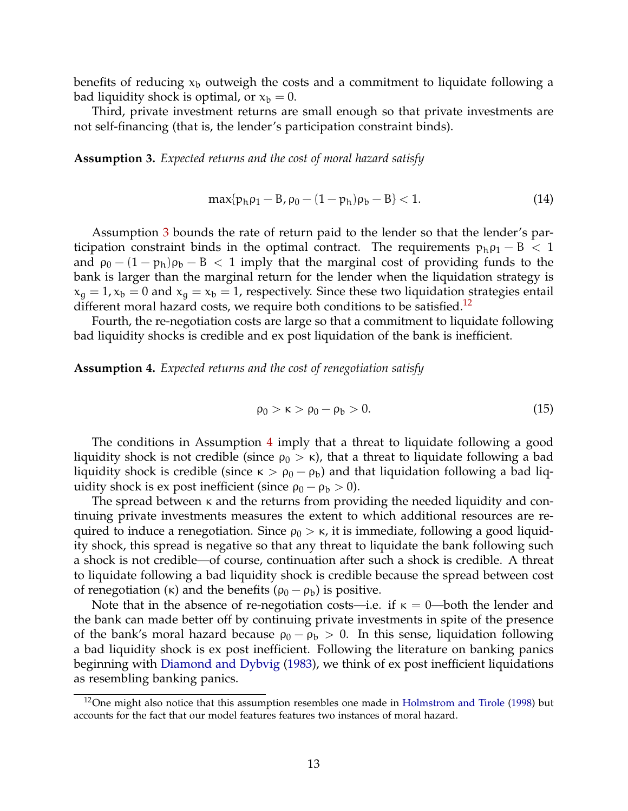<span id="page-14-3"></span>benefits of reducing  $x<sub>b</sub>$  outweigh the costs and a commitment to liquidate following a bad liquidity shock is optimal, or  $x_b = 0$ .

Third, private investment returns are small enough so that private investments are not self-financing (that is, the lender's participation constraint binds).

#### <span id="page-14-0"></span>**Assumption 3.** *Expected returns and the cost of moral hazard satisfy*

$$
\max\{p_h \rho_1 - B, \rho_0 - (1 - p_h)\rho_b - B\} < 1. \tag{14}
$$

Assumption [3](#page-14-0) bounds the rate of return paid to the lender so that the lender's participation constraint binds in the optimal contract. The requirements  $p_h p_1 - B < 1$ and  $\rho_0 - (1 - p_h)\rho_b - B < 1$  imply that the marginal cost of providing funds to the bank is larger than the marginal return for the lender when the liquidation strategy is  $x_q = 1$ ,  $x_b = 0$  and  $x_q = x_b = 1$ , respectively. Since these two liquidation strategies entail different moral hazard costs, we require both conditions to be satisfied.<sup>[12](#page-14-1)</sup>

Fourth, the re-negotiation costs are large so that a commitment to liquidate following bad liquidity shocks is credible and ex post liquidation of the bank is inefficient.

<span id="page-14-2"></span>**Assumption 4.** *Expected returns and the cost of renegotiation satisfy*

$$
\rho_0 > \kappa > \rho_0 - \rho_b > 0. \tag{15}
$$

The conditions in Assumption [4](#page-14-2) imply that a threat to liquidate following a good liquidity shock is not credible (since  $ρ_0$  > κ), that a threat to liquidate following a bad liquidity shock is credible (since  $\kappa > \rho_0 - \rho_b$ ) and that liquidation following a bad liquidity shock is ex post inefficient (since  $\rho_0 - \rho_b > 0$ ).

The spread between κ and the returns from providing the needed liquidity and continuing private investments measures the extent to which additional resources are required to induce a renegotiation. Since  $\rho_0 > \kappa$ , it is immediate, following a good liquidity shock, this spread is negative so that any threat to liquidate the bank following such a shock is not credible—of course, continuation after such a shock is credible. A threat to liquidate following a bad liquidity shock is credible because the spread between cost of renegotiation (κ) and the benefits ( $ρ_0 - ρ_b$ ) is positive.

Note that in the absence of re-negotiation costs—i.e. if  $\kappa = 0$ —both the lender and the bank can made better off by continuing private investments in spite of the presence of the bank's moral hazard because  $\rho_0 - \rho_b > 0$ . In this sense, liquidation following a bad liquidity shock is ex post inefficient. Following the literature on banking panics beginning with [Diamond and Dybvig](#page-30-14) [\(1983\)](#page-30-14), we think of ex post inefficient liquidations as resembling banking panics.

<span id="page-14-1"></span> $12$ One might also notice that this assumption resembles one made in [Holmstrom and Tirole](#page-31-2) [\(1998\)](#page-31-2) but accounts for the fact that our model features features two instances of moral hazard.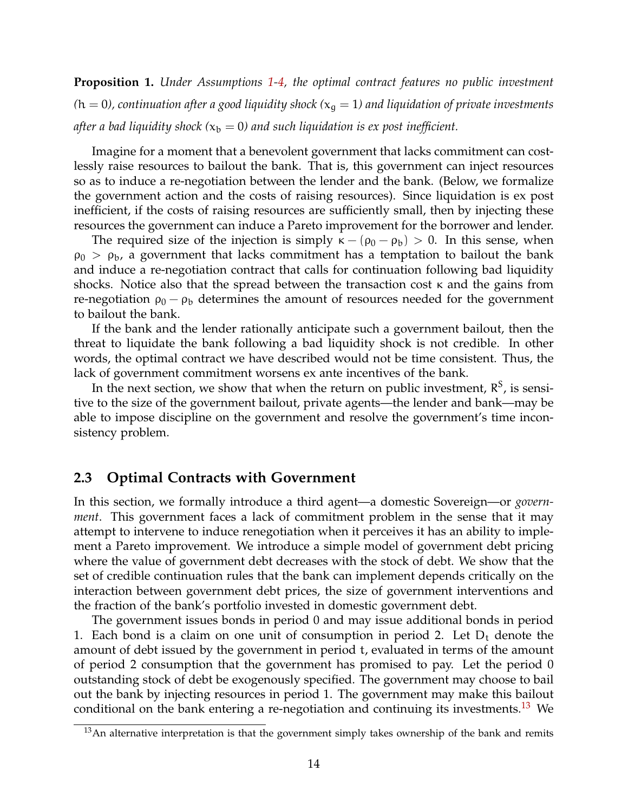**Proposition 1.** *Under Assumptions [1](#page-13-4)[-4,](#page-14-2) the optimal contract features no public investment*  $(h = 0)$ , continuation after a good liquidity shock ( $x_q = 1$ ) and liquidation of private investments *after a bad liquidity shock* ( $x<sub>b</sub> = 0$ ) and such liquidation is ex post inefficient.

Imagine for a moment that a benevolent government that lacks commitment can costlessly raise resources to bailout the bank. That is, this government can inject resources so as to induce a re-negotiation between the lender and the bank. (Below, we formalize the government action and the costs of raising resources). Since liquidation is ex post inefficient, if the costs of raising resources are sufficiently small, then by injecting these resources the government can induce a Pareto improvement for the borrower and lender.

The required size of the injection is simply  $\kappa - (\rho_0 - \rho_b) > 0$ . In this sense, when  $\rho_0 > \rho_b$ , a government that lacks commitment has a temptation to bailout the bank and induce a re-negotiation contract that calls for continuation following bad liquidity shocks. Notice also that the spread between the transaction cost  $\kappa$  and the gains from re-negotiation  $\rho_0 - \rho_b$  determines the amount of resources needed for the government to bailout the bank.

If the bank and the lender rationally anticipate such a government bailout, then the threat to liquidate the bank following a bad liquidity shock is not credible. In other words, the optimal contract we have described would not be time consistent. Thus, the lack of government commitment worsens ex ante incentives of the bank.

In the next section, we show that when the return on public investment,  $R^S$ , is sensitive to the size of the government bailout, private agents—the lender and bank—may be able to impose discipline on the government and resolve the government's time inconsistency problem.

## <span id="page-15-0"></span>**2.3 Optimal Contracts with Government**

In this section, we formally introduce a third agent—a domestic Sovereign—or *government*. This government faces a lack of commitment problem in the sense that it may attempt to intervene to induce renegotiation when it perceives it has an ability to implement a Pareto improvement. We introduce a simple model of government debt pricing where the value of government debt decreases with the stock of debt. We show that the set of credible continuation rules that the bank can implement depends critically on the interaction between government debt prices, the size of government interventions and the fraction of the bank's portfolio invested in domestic government debt.

The government issues bonds in period 0 and may issue additional bonds in period 1. Each bond is a claim on one unit of consumption in period 2. Let  $D_t$  denote the amount of debt issued by the government in period t, evaluated in terms of the amount of period 2 consumption that the government has promised to pay. Let the period 0 outstanding stock of debt be exogenously specified. The government may choose to bail out the bank by injecting resources in period 1. The government may make this bailout conditional on the bank entering a re-negotiation and continuing its investments.<sup>[13](#page-15-1)</sup> We

<span id="page-15-1"></span> $13$ An alternative interpretation is that the government simply takes ownership of the bank and remits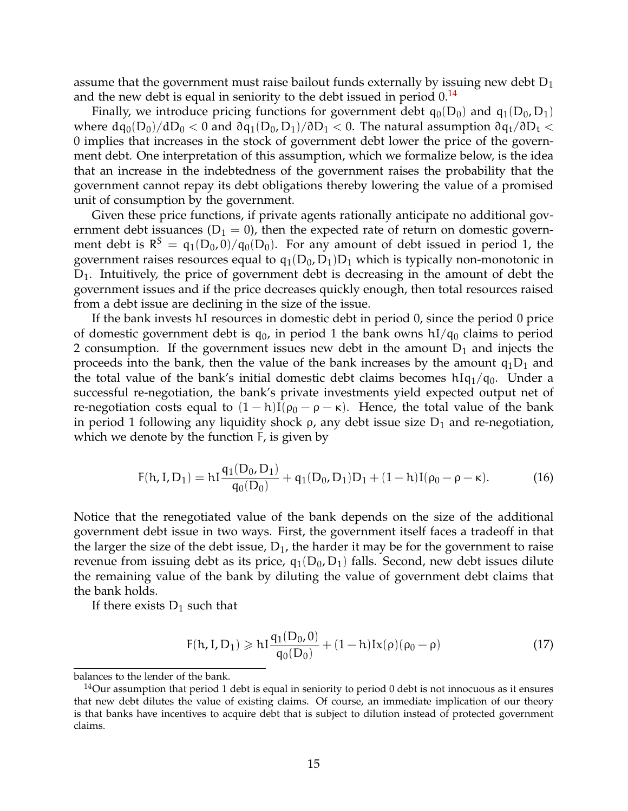assume that the government must raise bailout funds externally by issuing new debt  $D_1$ and the new debt is equal in seniority to the debt issued in period  $0.14$  $0.14$ 

Finally, we introduce pricing functions for government debt  $q_0(D_0)$  and  $q_1(D_0, D_1)$ where  $dq_0(D_0)/dD_0 < 0$  and  $\partial q_1(D_0, D_1)/\partial D_1 < 0$ . The natural assumption  $\partial q_t/\partial D_t <$ 0 implies that increases in the stock of government debt lower the price of the government debt. One interpretation of this assumption, which we formalize below, is the idea that an increase in the indebtedness of the government raises the probability that the government cannot repay its debt obligations thereby lowering the value of a promised unit of consumption by the government.

Given these price functions, if private agents rationally anticipate no additional government debt issuances ( $D_1 = 0$ ), then the expected rate of return on domestic government debt is  $R^S = q_1(D_0, 0)/q_0(D_0)$ . For any amount of debt issued in period 1, the government raises resources equal to  $q_1(D_0, D_1)D_1$  which is typically non-monotonic in D<sub>1</sub>. Intuitively, the price of government debt is decreasing in the amount of debt the government issues and if the price decreases quickly enough, then total resources raised from a debt issue are declining in the size of the issue.

If the bank invests hI resources in domestic debt in period 0, since the period 0 price of domestic government debt is  $q_0$ , in period 1 the bank owns  $hI/q_0$  claims to period 2 consumption. If the government issues new debt in the amount  $D_1$  and injects the proceeds into the bank, then the value of the bank increases by the amount  $q_1D_1$  and the total value of the bank's initial domestic debt claims becomes  $hIq_1/q_0$ . Under a successful re-negotiation, the bank's private investments yield expected output net of re-negotiation costs equal to  $(1 - h)I(\rho_0 - \rho - \kappa)$ . Hence, the total value of the bank in period 1 following any liquidity shock  $\rho$ , any debt issue size  $D_1$  and re-negotiation, which we denote by the function F, is given by

$$
F(h, I, D_1) = hI \frac{q_1(D_0, D_1)}{q_0(D_0)} + q_1(D_0, D_1)D_1 + (1 - h)I(\rho_0 - \rho - \kappa).
$$
 (16)

Notice that the renegotiated value of the bank depends on the size of the additional government debt issue in two ways. First, the government itself faces a tradeoff in that the larger the size of the debt issue,  $D_1$ , the harder it may be for the government to raise revenue from issuing debt as its price,  $q_1(D_0, D_1)$  falls. Second, new debt issues dilute the remaining value of the bank by diluting the value of government debt claims that the bank holds.

If there exists  $D_1$  such that

<span id="page-16-1"></span>
$$
F(h, I, D_1) \geqslant hI \frac{q_1(D_0, 0)}{q_0(D_0)} + (1 - h)Ix(\rho)(\rho_0 - \rho)
$$
\n(17)

balances to the lender of the bank.

<span id="page-16-0"></span> $14$ Our assumption that period 1 debt is equal in seniority to period 0 debt is not innocuous as it ensures that new debt dilutes the value of existing claims. Of course, an immediate implication of our theory is that banks have incentives to acquire debt that is subject to dilution instead of protected government claims.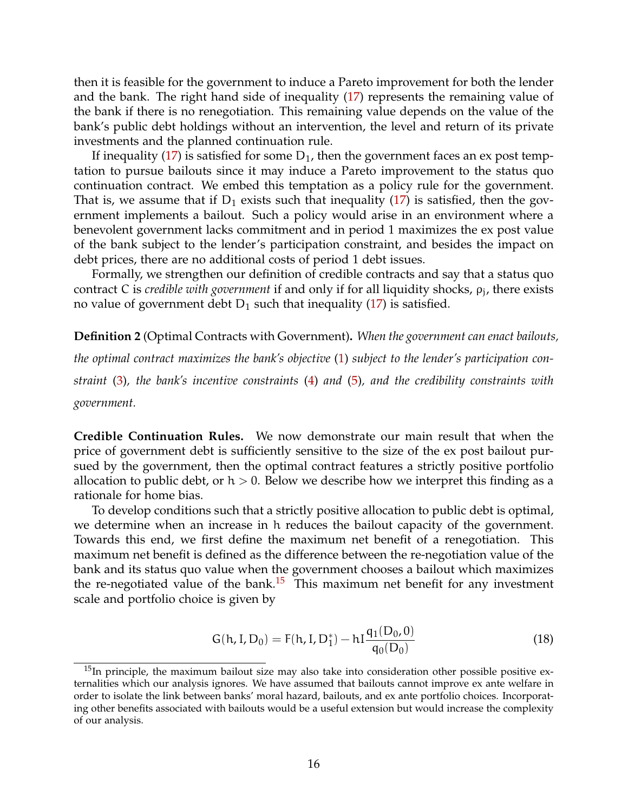then it is feasible for the government to induce a Pareto improvement for both the lender and the bank. The right hand side of inequality [\(17\)](#page-16-1) represents the remaining value of the bank if there is no renegotiation. This remaining value depends on the value of the bank's public debt holdings without an intervention, the level and return of its private investments and the planned continuation rule.

If inequality [\(17\)](#page-16-1) is satisfied for some  $D_1$ , then the government faces an ex post temptation to pursue bailouts since it may induce a Pareto improvement to the status quo continuation contract. We embed this temptation as a policy rule for the government. That is, we assume that if  $D_1$  exists such that inequality [\(17\)](#page-16-1) is satisfied, then the government implements a bailout. Such a policy would arise in an environment where a benevolent government lacks commitment and in period 1 maximizes the ex post value of the bank subject to the lender's participation constraint, and besides the impact on debt prices, there are no additional costs of period 1 debt issues.

Formally, we strengthen our definition of credible contracts and say that a status quo contract C is *credible with government* if and only if for all liquidity shocks, ρ<sup>j</sup> , there exists no value of government debt  $D_1$  such that inequality [\(17\)](#page-16-1) is satisfied.

**Definition 2** (Optimal Contracts with Government)**.** *When the government can enact bailouts, the optimal contract maximizes the bank's objective* [\(1\)](#page-11-3) *subject to the lender's participation constraint* [\(3\)](#page-11-2)*, the bank's incentive constraints* [\(4\)](#page-11-0) *and* [\(5\)](#page-11-1)*, and the credibility constraints with government.*

**Credible Continuation Rules.** We now demonstrate our main result that when the price of government debt is sufficiently sensitive to the size of the ex post bailout pursued by the government, then the optimal contract features a strictly positive portfolio allocation to public debt, or  $h > 0$ . Below we describe how we interpret this finding as a rationale for home bias.

To develop conditions such that a strictly positive allocation to public debt is optimal, we determine when an increase in h reduces the bailout capacity of the government. Towards this end, we first define the maximum net benefit of a renegotiation. This maximum net benefit is defined as the difference between the re-negotiation value of the bank and its status quo value when the government chooses a bailout which maximizes the re-negotiated value of the bank.<sup>[15](#page-17-0)</sup> This maximum net benefit for any investment scale and portfolio choice is given by

<span id="page-17-1"></span>
$$
G(h, I, D_0) = F(h, I, D_1^*) - hI \frac{q_1(D_0, 0)}{q_0(D_0)}
$$
\n(18)

<span id="page-17-0"></span><sup>&</sup>lt;sup>15</sup>In principle, the maximum bailout size may also take into consideration other possible positive externalities which our analysis ignores. We have assumed that bailouts cannot improve ex ante welfare in order to isolate the link between banks' moral hazard, bailouts, and ex ante portfolio choices. Incorporating other benefits associated with bailouts would be a useful extension but would increase the complexity of our analysis.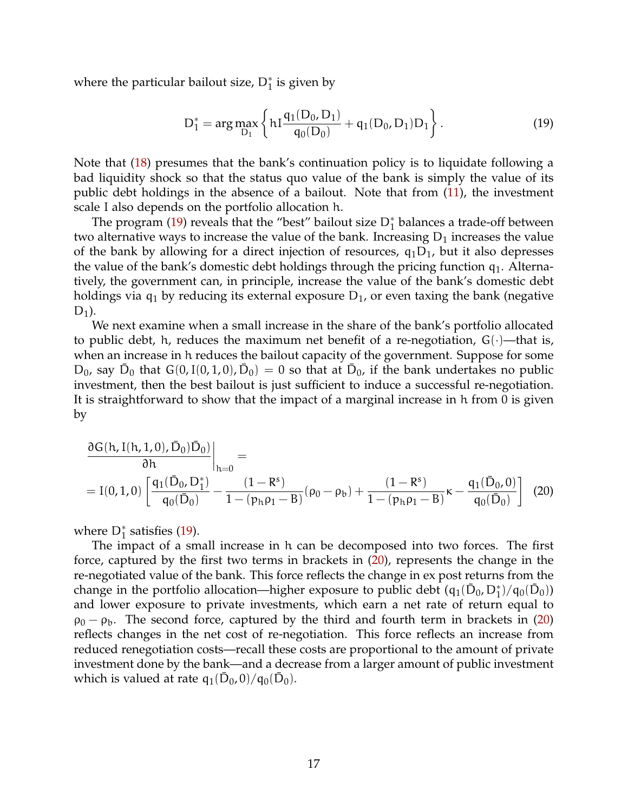where the particular bailout size,  $D_1^*$  is given by

<span id="page-18-0"></span>
$$
D_1^* = \arg \max_{D_1} \left\{ hI \frac{q_1(D_0, D_1)}{q_0(D_0)} + q_1(D_0, D_1)D_1 \right\}.
$$
 (19)

Note that [\(18\)](#page-17-1) presumes that the bank's continuation policy is to liquidate following a bad liquidity shock so that the status quo value of the bank is simply the value of its public debt holdings in the absence of a bailout. Note that from [\(11\)](#page-13-0), the investment scale I also depends on the portfolio allocation h.

The program [\(19\)](#page-18-0) reveals that the "best" bailout size  $D_1^*$  balances a trade-off between two alternative ways to increase the value of the bank. Increasing  $D_1$  increases the value of the bank by allowing for a direct injection of resources,  $q_1D_1$ , but it also depresses the value of the bank's domestic debt holdings through the pricing function  $q_1$ . Alternatively, the government can, in principle, increase the value of the bank's domestic debt holdings via  $q_1$  by reducing its external exposure  $D_1$ , or even taxing the bank (negative  $D_1$ ).

We next examine when a small increase in the share of the bank's portfolio allocated to public debt, h, reduces the maximum net benefit of a re-negotiation,  $G(\cdot)$ —that is, when an increase in h reduces the bailout capacity of the government. Suppose for some  $D_0$ , say  $\bar{D}_0$  that  $G(0, I(0, 1, 0), \bar{D}_0) = 0$  so that at  $\bar{D}_0$ , if the bank undertakes no public investment, then the best bailout is just sufficient to induce a successful re-negotiation. It is straightforward to show that the impact of a marginal increase in h from 0 is given by

<span id="page-18-1"></span>
$$
\frac{\partial G(h, I(h, 1, 0), \bar{D}_0) \bar{D}_0)}{\partial h} \bigg|_{h=0} = \frac{}{\left(1 - R^s\right)}\\ = I(0, 1, 0) \left[ \frac{q_1(\bar{D}_0, D_1^*)}{q_0(\bar{D}_0)} - \frac{(1 - R^s)}{1 - (p_h \rho_1 - B)} (\rho_0 - \rho_b) + \frac{(1 - R^s)}{1 - (p_h \rho_1 - B)} \kappa - \frac{q_1(\bar{D}_0, 0)}{q_0(\bar{D}_0)} \right] (20)
$$

where  $D_1^*$  satisfies [\(19\)](#page-18-0).

The impact of a small increase in h can be decomposed into two forces. The first force, captured by the first two terms in brackets in [\(20\)](#page-18-1), represents the change in the re-negotiated value of the bank. This force reflects the change in ex post returns from the change in the portfolio allocation—higher exposure to public debt  $(q_1(\bar{D}_0, D_1^*)/q_0(\bar{D}_0))$ and lower exposure to private investments, which earn a net rate of return equal to  $\rho_0 - \rho_b$ . The second force, captured by the third and fourth term in brackets in [\(20\)](#page-18-1) reflects changes in the net cost of re-negotiation. This force reflects an increase from reduced renegotiation costs—recall these costs are proportional to the amount of private investment done by the bank—and a decrease from a larger amount of public investment which is valued at rate  $q_1(\bar{D}_0, 0)/q_0(\bar{D}_0)$ .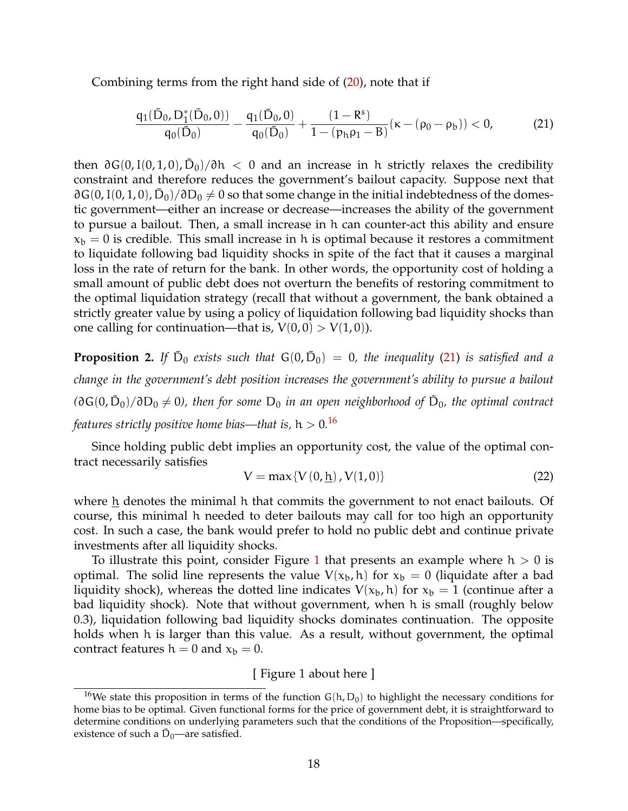Combining terms from the right hand side of [\(20\)](#page-18-1), note that if

<span id="page-19-0"></span>
$$
\frac{q_1(\bar D_0, D_1^*(\bar D_0, 0))}{q_0(\bar D_0)} - \frac{q_1(\bar D_0, 0)}{q_0(\bar D_0)} + \frac{(1-R^s)}{1-(p_h\rho_1-B)}(\kappa-(\rho_0-\rho_b)) < 0,\qquad \qquad (21)
$$

then  $\partial G(0, I(0, 1, 0), \bar{D}_0)/\partial h < 0$  and an increase in h strictly relaxes the credibility constraint and therefore reduces the government's bailout capacity. Suppose next that  $\partial G(0, I(0, 1, 0), \bar{D}_0) / \partial D_0 \neq 0$  so that some change in the initial indebtedness of the domestic government—either an increase or decrease—increases the ability of the government to pursue a bailout. Then, a small increase in h can counter-act this ability and ensure  $x_b = 0$  is credible. This small increase in h is optimal because it restores a commitment to liquidate following bad liquidity shocks in spite of the fact that it causes a marginal loss in the rate of return for the bank. In other words, the opportunity cost of holding a small amount of public debt does not overturn the benefits of restoring commitment to the optimal liquidation strategy (recall that without a government, the bank obtained a strictly greater value by using a policy of liquidation following bad liquidity shocks than one calling for continuation—that is,  $V(0,0) > V(1,0)$ ).

<span id="page-19-2"></span>**Proposition 2.** If  $\bar{D}_0$  exists such that  $G(0, \bar{D}_0) = 0$ , the inequality [\(21\)](#page-19-0) is satisfied and a *change in the government's debt position increases the government's ability to pursue a bailout*  $( \partial G(0,\bar{D}_0)/\partial D_0 \neq 0)$ , then for some  $D_0$  in an open neighborhood of  $\bar{D}_0$ , the optimal contract *features strictly positive home bias—that is,* h > 0*.* [16](#page-19-1)

Since holding public debt implies an opportunity cost, the value of the optimal contract necessarily satisfies

$$
V = \max\{V(0, \underline{h}), V(1, 0)\}\
$$
 (22)

where  $\underline{h}$  denotes the minimal h that commits the government to not enact bailouts. Of course, this minimal h needed to deter bailouts may call for too high an opportunity cost. In such a case, the bank would prefer to hold no public debt and continue private investments after all liquidity shocks.

To illustrate this point, consider Figure [1](#page-32-0) that presents an example where  $h > 0$  is optimal. The solid line represents the value  $V(x_b, h)$  for  $x_b = 0$  (liquidate after a bad liquidity shock), whereas the dotted line indicates  $V(x_b, h)$  for  $x_b = 1$  (continue after a bad liquidity shock). Note that without government, when h is small (roughly below 0.3), liquidation following bad liquidity shocks dominates continuation. The opposite holds when h is larger than this value. As a result, without government, the optimal contract features  $h = 0$  and  $x_b = 0$ .

[ Figure 1 about here ]

<span id="page-19-1"></span><sup>&</sup>lt;sup>16</sup>We state this proposition in terms of the function  $G(h, D_0)$  to highlight the necessary conditions for home bias to be optimal. Given functional forms for the price of government debt, it is straightforward to determine conditions on underlying parameters such that the conditions of the Proposition—specifically, existence of such a  $\bar{D}_0$ —are satisfied.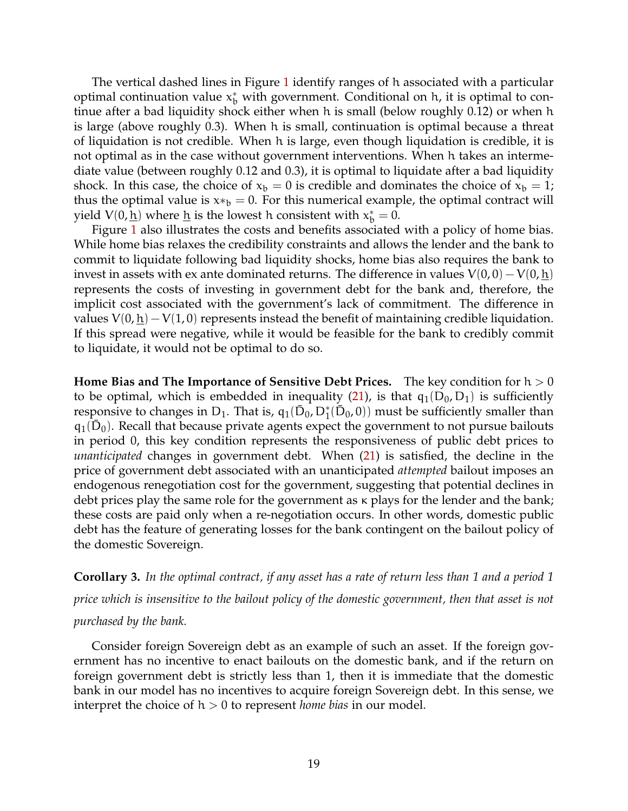The vertical dashed lines in Figure [1](#page-32-0) identify ranges of h associated with a particular optimal continuation value  $x_b^*$  with government. Conditional on h, it is optimal to continue after a bad liquidity shock either when h is small (below roughly 0.12) or when h is large (above roughly 0.3). When h is small, continuation is optimal because a threat of liquidation is not credible. When h is large, even though liquidation is credible, it is not optimal as in the case without government interventions. When h takes an intermediate value (between roughly 0.12 and 0.3), it is optimal to liquidate after a bad liquidity shock. In this case, the choice of  $x_b = 0$  is credible and dominates the choice of  $x_b = 1$ ; thus the optimal value is  $x*_b = 0$ . For this numerical example, the optimal contract will yield  $V(0, \underline{h})$  where  $\underline{h}$  is the lowest h consistent with  $x_b^* = 0$ .

Figure [1](#page-32-0) also illustrates the costs and benefits associated with a policy of home bias. While home bias relaxes the credibility constraints and allows the lender and the bank to commit to liquidate following bad liquidity shocks, home bias also requires the bank to invest in assets with ex ante dominated returns. The difference in values  $V(0, 0) - V(0, h)$ represents the costs of investing in government debt for the bank and, therefore, the implicit cost associated with the government's lack of commitment. The difference in values  $V(0, h) - V(1, 0)$  represents instead the benefit of maintaining credible liquidation. If this spread were negative, while it would be feasible for the bank to credibly commit to liquidate, it would not be optimal to do so.

**Home Bias and The Importance of Sensitive Debt Prices.** The key condition for h > 0 to be optimal, which is embedded in inequality [\(21\)](#page-19-0), is that  $q_1(D_0, D_1)$  is sufficiently responsive to changes in D<sub>1</sub>. That is,  $q_1(\bar{D}_0, D_1^*(\bar{D}_0, 0))$  must be sufficiently smaller than  $q_1(\bar{D}_0)$ . Recall that because private agents expect the government to not pursue bailouts in period 0, this key condition represents the responsiveness of public debt prices to *unanticipated* changes in government debt. When [\(21\)](#page-19-0) is satisfied, the decline in the price of government debt associated with an unanticipated *attempted* bailout imposes an endogenous renegotiation cost for the government, suggesting that potential declines in debt prices play the same role for the government as κ plays for the lender and the bank; these costs are paid only when a re-negotiation occurs. In other words, domestic public debt has the feature of generating losses for the bank contingent on the bailout policy of the domestic Sovereign.

**Corollary 3.** *In the optimal contract, if any asset has a rate of return less than 1 and a period 1 price which is insensitive to the bailout policy of the domestic government, then that asset is not purchased by the bank.*

Consider foreign Sovereign debt as an example of such an asset. If the foreign government has no incentive to enact bailouts on the domestic bank, and if the return on foreign government debt is strictly less than 1, then it is immediate that the domestic bank in our model has no incentives to acquire foreign Sovereign debt. In this sense, we interpret the choice of h > 0 to represent *home bias* in our model.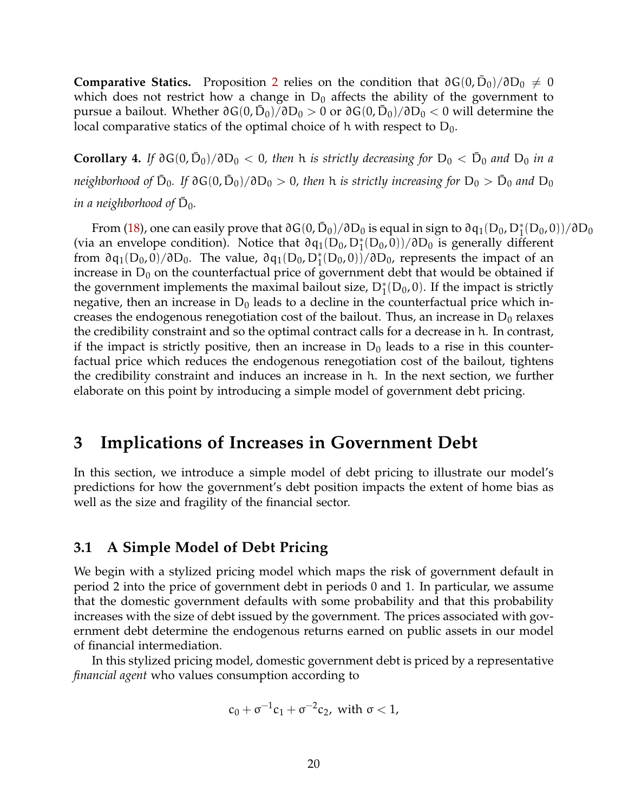**Comparative Statics.** Proposition [2](#page-19-2) relies on the condition that  $\partial G(0, \bar{D}_0)/\partial D_0 \neq 0$ which does not restrict how a change in  $D_0$  affects the ability of the government to pursue a bailout. Whether  $\partial G (0, \bar{D}_0) / \partial D_0 > 0$  or  $\partial G (0, \bar{D}_0) / \partial D_0 < 0$  will determine the local comparative statics of the optimal choice of h with respect to  $D_0$ .

<span id="page-21-0"></span>**Corollary 4.** If  $\partial G(0, \bar{D}_0)/\partial D_0 < 0$ , then h is strictly decreasing for  $D_0 < \bar{D}_0$  and  $D_0$  in a neighborhood of  $\bar{D}_0$ . If  $\partial G (0, \bar{D}_0)/\partial D_0 > 0$ , then  $h$  is strictly increasing for  $D_0 > \bar{D}_0$  and  $D_0$ in a neighborhood of  $\bar{D}_0$ .

From [\(18\)](#page-17-1), one can easily prove that  $\partial G(0,\bar D_0)/\partial D_0$  is equal in sign to  $\partial q_1(D_0,D_1^*(D_0,0))/\partial D_0$ (via an envelope condition). Notice that  $\partial q_1(D_0, D_1^*(D_0, 0))/\partial D_0$  is generally different from  $\partial q_1(D_0, 0)/\partial D_0$ . The value,  $\partial q_1(D_0, D_1^*(D_0, 0))/\partial D_0$ , represents the impact of an increase in  $D_0$  on the counterfactual price of government debt that would be obtained if the government implements the maximal bailout size,  $D_1^*(D_0, 0)$ . If the impact is strictly negative, then an increase in  $D_0$  leads to a decline in the counterfactual price which increases the endogenous renegotiation cost of the bailout. Thus, an increase in  $D_0$  relaxes the credibility constraint and so the optimal contract calls for a decrease in h. In contrast, if the impact is strictly positive, then an increase in  $D_0$  leads to a rise in this counterfactual price which reduces the endogenous renegotiation cost of the bailout, tightens the credibility constraint and induces an increase in h. In the next section, we further elaborate on this point by introducing a simple model of government debt pricing.

## **3 Implications of Increases in Government Debt**

In this section, we introduce a simple model of debt pricing to illustrate our model's predictions for how the government's debt position impacts the extent of home bias as well as the size and fragility of the financial sector.

## **3.1 A Simple Model of Debt Pricing**

We begin with a stylized pricing model which maps the risk of government default in period 2 into the price of government debt in periods 0 and 1. In particular, we assume that the domestic government defaults with some probability and that this probability increases with the size of debt issued by the government. The prices associated with government debt determine the endogenous returns earned on public assets in our model of financial intermediation.

In this stylized pricing model, domestic government debt is priced by a representative *financial agent* who values consumption according to

$$
c_0 + \sigma^{-1}c_1 + \sigma^{-2}c_2
$$
, with  $\sigma < 1$ ,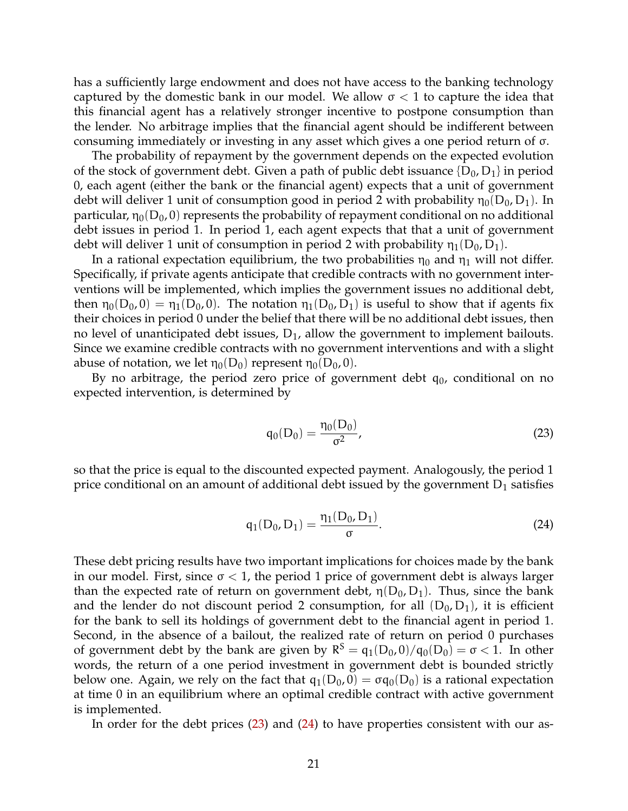has a sufficiently large endowment and does not have access to the banking technology captured by the domestic bank in our model. We allow  $\sigma < 1$  to capture the idea that this financial agent has a relatively stronger incentive to postpone consumption than the lender. No arbitrage implies that the financial agent should be indifferent between consuming immediately or investing in any asset which gives a one period return of σ.

The probability of repayment by the government depends on the expected evolution of the stock of government debt. Given a path of public debt issuance  $\{D_0, D_1\}$  in period 0, each agent (either the bank or the financial agent) expects that a unit of government debt will deliver 1 unit of consumption good in period 2 with probability  $\eta_0(D_0, D_1)$ . In particular,  $\eta_0(D_0, 0)$  represents the probability of repayment conditional on no additional debt issues in period 1. In period 1, each agent expects that that a unit of government debt will deliver 1 unit of consumption in period 2 with probability  $\eta_1(D_0, D_1)$ .

In a rational expectation equilibrium, the two probabilities  $\eta_0$  and  $\eta_1$  will not differ. Specifically, if private agents anticipate that credible contracts with no government interventions will be implemented, which implies the government issues no additional debt, then  $\eta_0(D_0, 0) = \eta_1(D_0, 0)$ . The notation  $\eta_1(D_0, D_1)$  is useful to show that if agents fix their choices in period 0 under the belief that there will be no additional debt issues, then no level of unanticipated debt issues,  $D_1$ , allow the government to implement bailouts. Since we examine credible contracts with no government interventions and with a slight abuse of notation, we let  $\eta_0(D_0)$  represent  $\eta_0(D_0, 0)$ .

By no arbitrage, the period zero price of government debt  $q_0$ , conditional on no expected intervention, is determined by

<span id="page-22-0"></span>
$$
q_0(D_0) = \frac{\eta_0(D_0)}{\sigma^2},
$$
\n(23)

so that the price is equal to the discounted expected payment. Analogously, the period 1 price conditional on an amount of additional debt issued by the government  $D_1$  satisfies

<span id="page-22-1"></span>
$$
q_1(D_0, D_1) = \frac{\eta_1(D_0, D_1)}{\sigma}.
$$
 (24)

These debt pricing results have two important implications for choices made by the bank in our model. First, since  $\sigma < 1$ , the period 1 price of government debt is always larger than the expected rate of return on government debt,  $\eta(D_0, D_1)$ . Thus, since the bank and the lender do not discount period 2 consumption, for all  $(D_0, D_1)$ , it is efficient for the bank to sell its holdings of government debt to the financial agent in period 1. Second, in the absence of a bailout, the realized rate of return on period 0 purchases of government debt by the bank are given by  $R^S = q_1(D_0, 0)/q_0(D_0) = \sigma < 1$ . In other words, the return of a one period investment in government debt is bounded strictly below one. Again, we rely on the fact that  $q_1(D_0, 0) = \sigma q_0(D_0)$  is a rational expectation at time 0 in an equilibrium where an optimal credible contract with active government is implemented.

In order for the debt prices [\(23\)](#page-22-0) and [\(24\)](#page-22-1) to have properties consistent with our as-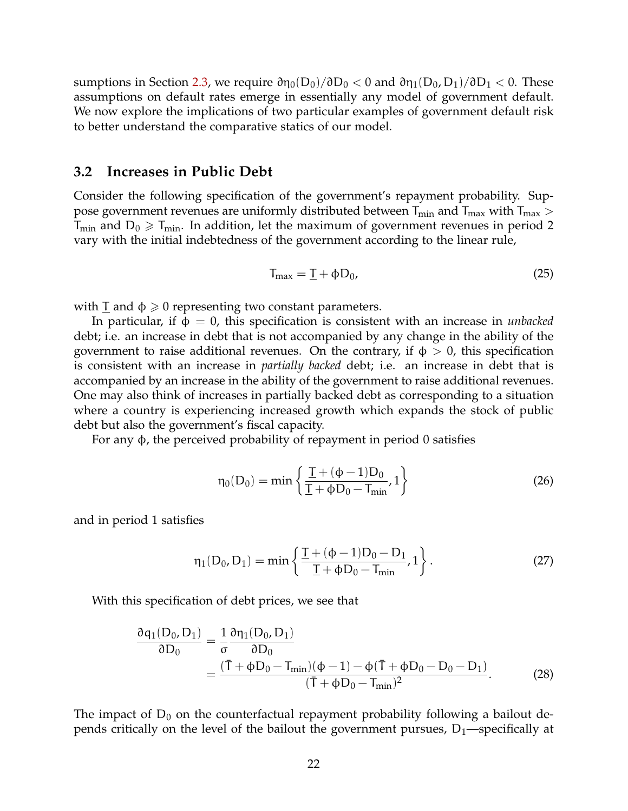sumptions in Section [2.3,](#page-15-0) we require  $\partial \eta_0(D_0)/\partial D_0 < 0$  and  $\partial \eta_1(D_0, D_1)/\partial D_1 < 0$ . These assumptions on default rates emerge in essentially any model of government default. We now explore the implications of two particular examples of government default risk to better understand the comparative statics of our model.

### **3.2 Increases in Public Debt**

Consider the following specification of the government's repayment probability. Suppose government revenues are uniformly distributed between  $T_{min}$  and  $T_{max}$  with  $T_{max}$  >  $T_{\text{min}}$  and  $D_0 \geq T_{\text{min}}$ . In addition, let the maximum of government revenues in period 2 vary with the initial indebtedness of the government according to the linear rule,

$$
T_{\text{max}} = \underline{T} + \phi D_0,\tag{25}
$$

with  $\underline{T}$  and  $\phi \geq 0$  representing two constant parameters.

In particular, if  $\phi = 0$ , this specification is consistent with an increase in *unbacked* debt; i.e. an increase in debt that is not accompanied by any change in the ability of the government to raise additional revenues. On the contrary, if  $\phi > 0$ , this specification is consistent with an increase in *partially backed* debt; i.e. an increase in debt that is accompanied by an increase in the ability of the government to raise additional revenues. One may also think of increases in partially backed debt as corresponding to a situation where a country is experiencing increased growth which expands the stock of public debt but also the government's fiscal capacity.

For any φ, the perceived probability of repayment in period 0 satisfies

$$
\eta_0(D_0) = \min\left\{\frac{\underline{T} + (\phi - 1)D_0}{\underline{T} + \phi D_0 - T_{\min}}, 1\right\}
$$
 (26)

and in period 1 satisfies

<span id="page-23-0"></span>
$$
\eta_1(D_0, D_1) = \min\left\{\frac{\underline{T} + (\phi - 1)D_0 - D_1}{\underline{T} + \phi D_0 - T_{\min}}, 1\right\}.
$$
\n(27)

With this specification of debt prices, we see that

$$
\frac{\partial q_1(D_0, D_1)}{\partial D_0} = \frac{1}{\sigma} \frac{\partial \eta_1(D_0, D_1)}{\partial D_0}
$$
  
= 
$$
\frac{(\bar{T} + \phi D_0 - T_{\min})(\phi - 1) - \phi(\bar{T} + \phi D_0 - D_0 - D_1)}{(\bar{T} + \phi D_0 - T_{\min})^2}.
$$
 (28)

The impact of  $D_0$  on the counterfactual repayment probability following a bailout depends critically on the level of the bailout the government pursues,  $D_1$ —specifically at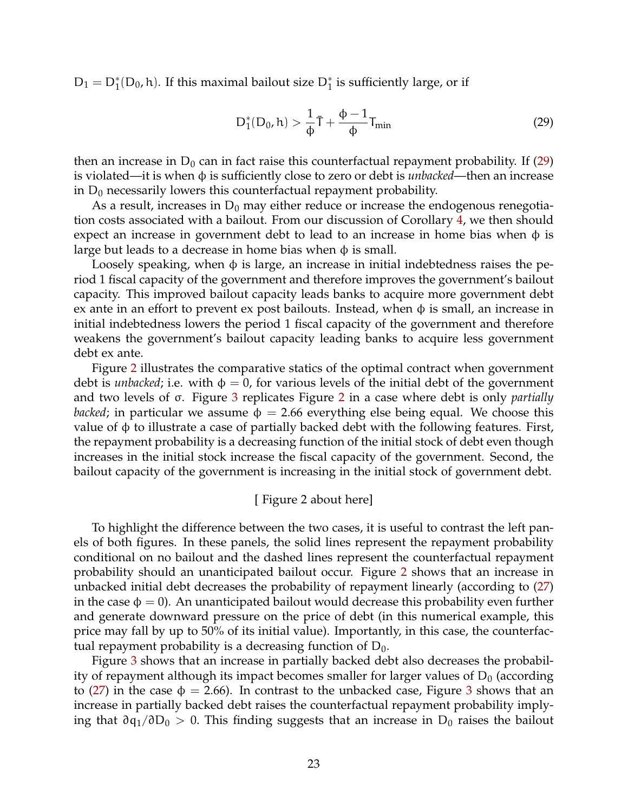$D_1 = D_1^*(D_0, h)$ . If this maximal bailout size  $D_1^*$  is sufficiently large, or if

<span id="page-24-0"></span>
$$
D_1^*(D_0, h) > \frac{1}{\phi} \overline{T} + \frac{\phi - 1}{\phi} T_{\min}
$$
\n(29)

then an increase in  $D_0$  can in fact raise this counterfactual repayment probability. If [\(29\)](#page-24-0) is violated—it is when φ is sufficiently close to zero or debt is *unbacked*—then an increase in  $D_0$  necessarily lowers this counterfactual repayment probability.

As a result, increases in  $D_0$  may either reduce or increase the endogenous renegotiation costs associated with a bailout. From our discussion of Corollary [4,](#page-21-0) we then should expect an increase in government debt to lead to an increase in home bias when  $\phi$  is large but leads to a decrease in home bias when  $\phi$  is small.

Loosely speaking, when  $\phi$  is large, an increase in initial indebtedness raises the period 1 fiscal capacity of the government and therefore improves the government's bailout capacity. This improved bailout capacity leads banks to acquire more government debt ex ante in an effort to prevent ex post bailouts. Instead, when  $\phi$  is small, an increase in initial indebtedness lowers the period 1 fiscal capacity of the government and therefore weakens the government's bailout capacity leading banks to acquire less government debt ex ante.

Figure [2](#page-33-0) illustrates the comparative statics of the optimal contract when government debt is *unbacked*; i.e. with  $\phi = 0$ , for various levels of the initial debt of the government and two levels of σ. Figure [3](#page-33-1) replicates Figure [2](#page-33-0) in a case where debt is only *partially backed*; in particular we assume  $\phi = 2.66$  everything else being equal. We choose this value of φ to illustrate a case of partially backed debt with the following features. First, the repayment probability is a decreasing function of the initial stock of debt even though increases in the initial stock increase the fiscal capacity of the government. Second, the bailout capacity of the government is increasing in the initial stock of government debt.

#### [ Figure 2 about here]

To highlight the difference between the two cases, it is useful to contrast the left panels of both figures. In these panels, the solid lines represent the repayment probability conditional on no bailout and the dashed lines represent the counterfactual repayment probability should an unanticipated bailout occur. Figure [2](#page-33-0) shows that an increase in unbacked initial debt decreases the probability of repayment linearly (according to [\(27\)](#page-23-0) in the case  $\phi = 0$ ). An unanticipated bailout would decrease this probability even further and generate downward pressure on the price of debt (in this numerical example, this price may fall by up to 50% of its initial value). Importantly, in this case, the counterfactual repayment probability is a decreasing function of  $D_0$ .

Figure [3](#page-33-1) shows that an increase in partially backed debt also decreases the probability of repayment although its impact becomes smaller for larger values of  $D_0$  (according to [\(27\)](#page-23-0) in the case  $\phi = 2.66$ ). In contrast to the unbacked case, Figure [3](#page-33-1) shows that an increase in partially backed debt raises the counterfactual repayment probability implying that  $\partial q_1/\partial D_0 > 0$ . This finding suggests that an increase in D<sub>0</sub> raises the bailout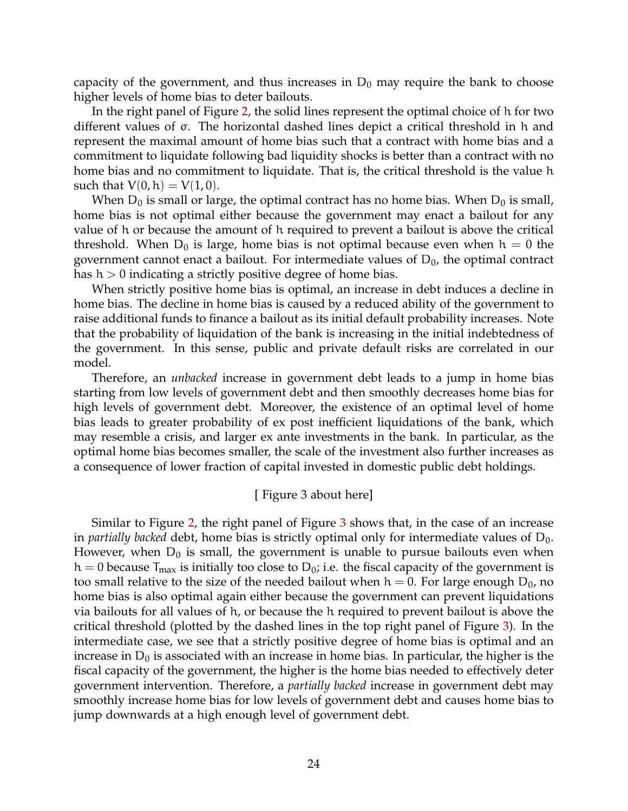capacity of the government, and thus increases in  $D_0$  may require the bank to choose higher levels of home bias to deter bailouts.

In the right panel of Figure [2,](#page-33-0) the solid lines represent the optimal choice of h for two different values of σ. The horizontal dashed lines depict a critical threshold in h and represent the maximal amount of home bias such that a contract with home bias and a commitment to liquidate following bad liquidity shocks is better than a contract with no home bias and no commitment to liquidate. That is, the critical threshold is the value h such that  $V(0, h) = V(1, 0)$ .

When  $D_0$  is small or large, the optimal contract has no home bias. When  $D_0$  is small, home bias is not optimal either because the government may enact a bailout for any value of h or because the amount of h required to prevent a bailout is above the critical threshold. When  $D_0$  is large, home bias is not optimal because even when  $h = 0$  the government cannot enact a bailout. For intermediate values of  $D_0$ , the optimal contract has  $h > 0$  indicating a strictly positive degree of home bias.

When strictly positive home bias is optimal, an increase in debt induces a decline in home bias. The decline in home bias is caused by a reduced ability of the government to raise additional funds to finance a bailout as its initial default probability increases. Note that the probability of liquidation of the bank is increasing in the initial indebtedness of the government. In this sense, public and private default risks are correlated in our model.

Therefore, an *unbacked* increase in government debt leads to a jump in home bias starting from low levels of government debt and then smoothly decreases home bias for high levels of government debt. Moreover, the existence of an optimal level of home bias leads to greater probability of ex post inefficient liquidations of the bank, which may resemble a crisis, and larger ex ante investments in the bank. In particular, as the optimal home bias becomes smaller, the scale of the investment also further increases as a consequence of lower fraction of capital invested in domestic public debt holdings.

#### [ Figure 3 about here]

Similar to Figure [2,](#page-33-0) the right panel of Figure [3](#page-33-1) shows that, in the case of an increase in *partially backed* debt, home bias is strictly optimal only for intermediate values of  $D_0$ . However, when  $D_0$  is small, the government is unable to pursue bailouts even when  $h = 0$  because  $T_{max}$  is initially too close to  $D_0$ ; i.e. the fiscal capacity of the government is too small relative to the size of the needed bailout when  $h = 0$ . For large enough  $D_0$ , no home bias is also optimal again either because the government can prevent liquidations via bailouts for all values of h, or because the h required to prevent bailout is above the critical threshold (plotted by the dashed lines in the top right panel of Figure [3\)](#page-33-1). In the intermediate case, we see that a strictly positive degree of home bias is optimal and an increase in  $D_0$  is associated with an increase in home bias. In particular, the higher is the fiscal capacity of the government, the higher is the home bias needed to effectively deter government intervention. Therefore, a *partially backed* increase in government debt may smoothly increase home bias for low levels of government debt and causes home bias to jump downwards at a high enough level of government debt.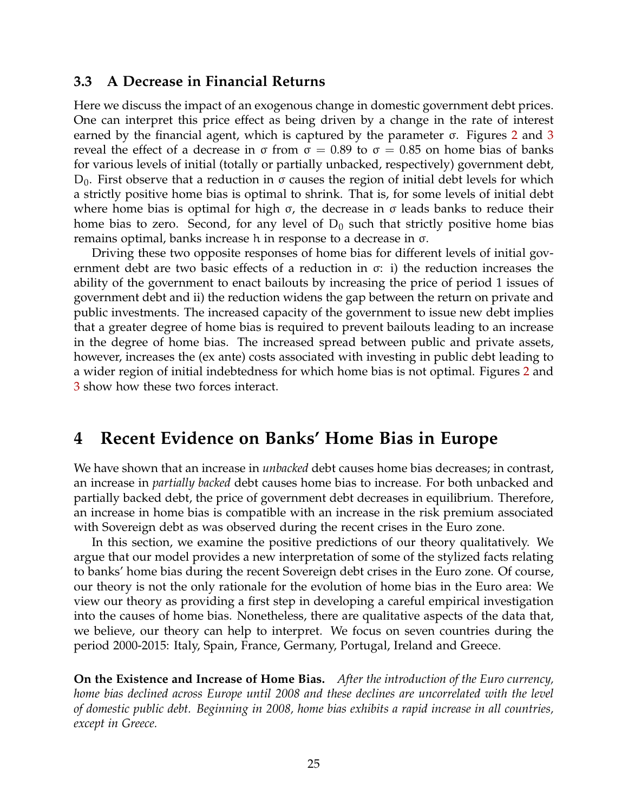### **3.3 A Decrease in Financial Returns**

Here we discuss the impact of an exogenous change in domestic government debt prices. One can interpret this price effect as being driven by a change in the rate of interest earned by the financial agent, which is captured by the parameter σ. Figures [2](#page-33-0) and [3](#page-33-1) reveal the effect of a decrease in σ from  $\sigma = 0.89$  to  $\sigma = 0.85$  on home bias of banks for various levels of initial (totally or partially unbacked, respectively) government debt,  $D_0$ . First observe that a reduction in σ causes the region of initial debt levels for which a strictly positive home bias is optimal to shrink. That is, for some levels of initial debt where home bias is optimal for high  $\sigma$ , the decrease in  $\sigma$  leads banks to reduce their home bias to zero. Second, for any level of  $D_0$  such that strictly positive home bias remains optimal, banks increase h in response to a decrease in σ.

Driving these two opposite responses of home bias for different levels of initial government debt are two basic effects of a reduction in  $\sigma$ : i) the reduction increases the ability of the government to enact bailouts by increasing the price of period 1 issues of government debt and ii) the reduction widens the gap between the return on private and public investments. The increased capacity of the government to issue new debt implies that a greater degree of home bias is required to prevent bailouts leading to an increase in the degree of home bias. The increased spread between public and private assets, however, increases the (ex ante) costs associated with investing in public debt leading to a wider region of initial indebtedness for which home bias is not optimal. Figures [2](#page-33-0) and [3](#page-33-1) show how these two forces interact.

## **4 Recent Evidence on Banks' Home Bias in Europe**

We have shown that an increase in *unbacked* debt causes home bias decreases; in contrast, an increase in *partially backed* debt causes home bias to increase. For both unbacked and partially backed debt, the price of government debt decreases in equilibrium. Therefore, an increase in home bias is compatible with an increase in the risk premium associated with Sovereign debt as was observed during the recent crises in the Euro zone.

In this section, we examine the positive predictions of our theory qualitatively. We argue that our model provides a new interpretation of some of the stylized facts relating to banks' home bias during the recent Sovereign debt crises in the Euro zone. Of course, our theory is not the only rationale for the evolution of home bias in the Euro area: We view our theory as providing a first step in developing a careful empirical investigation into the causes of home bias. Nonetheless, there are qualitative aspects of the data that, we believe, our theory can help to interpret. We focus on seven countries during the period 2000-2015: Italy, Spain, France, Germany, Portugal, Ireland and Greece.

**On the Existence and Increase of Home Bias.** *After the introduction of the Euro currency, home bias declined across Europe until 2008 and these declines are uncorrelated with the level of domestic public debt. Beginning in 2008, home bias exhibits a rapid increase in all countries, except in Greece.*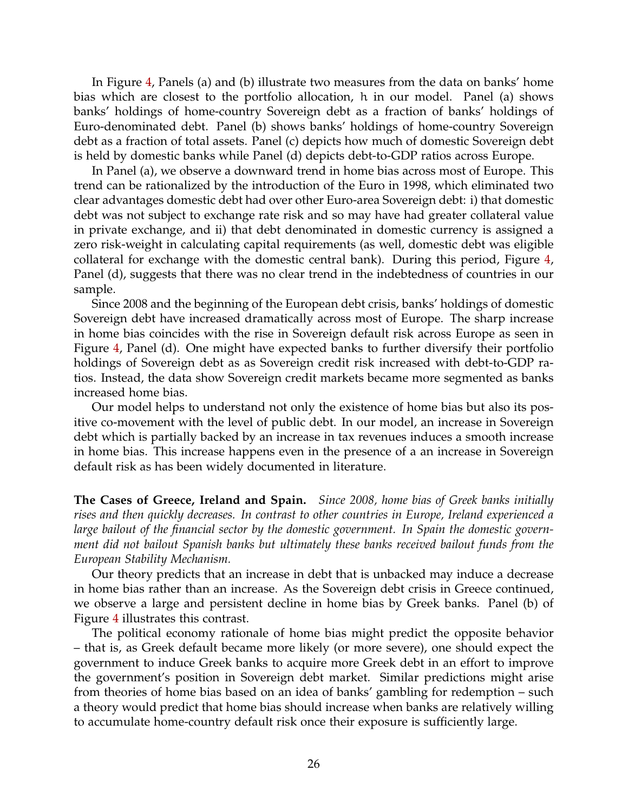In Figure [4,](#page-34-0) Panels (a) and (b) illustrate two measures from the data on banks' home bias which are closest to the portfolio allocation, h in our model. Panel (a) shows banks' holdings of home-country Sovereign debt as a fraction of banks' holdings of Euro-denominated debt. Panel (b) shows banks' holdings of home-country Sovereign debt as a fraction of total assets. Panel (c) depicts how much of domestic Sovereign debt is held by domestic banks while Panel (d) depicts debt-to-GDP ratios across Europe.

In Panel (a), we observe a downward trend in home bias across most of Europe. This trend can be rationalized by the introduction of the Euro in 1998, which eliminated two clear advantages domestic debt had over other Euro-area Sovereign debt: i) that domestic debt was not subject to exchange rate risk and so may have had greater collateral value in private exchange, and ii) that debt denominated in domestic currency is assigned a zero risk-weight in calculating capital requirements (as well, domestic debt was eligible collateral for exchange with the domestic central bank). During this period, Figure [4,](#page-34-0) Panel (d), suggests that there was no clear trend in the indebtedness of countries in our sample.

Since 2008 and the beginning of the European debt crisis, banks' holdings of domestic Sovereign debt have increased dramatically across most of Europe. The sharp increase in home bias coincides with the rise in Sovereign default risk across Europe as seen in Figure [4,](#page-34-0) Panel (d). One might have expected banks to further diversify their portfolio holdings of Sovereign debt as as Sovereign credit risk increased with debt-to-GDP ratios. Instead, the data show Sovereign credit markets became more segmented as banks increased home bias.

Our model helps to understand not only the existence of home bias but also its positive co-movement with the level of public debt. In our model, an increase in Sovereign debt which is partially backed by an increase in tax revenues induces a smooth increase in home bias. This increase happens even in the presence of a an increase in Sovereign default risk as has been widely documented in literature.

**The Cases of Greece, Ireland and Spain.** *Since 2008, home bias of Greek banks initially rises and then quickly decreases. In contrast to other countries in Europe, Ireland experienced a large bailout of the financial sector by the domestic government. In Spain the domestic government did not bailout Spanish banks but ultimately these banks received bailout funds from the European Stability Mechanism.*

Our theory predicts that an increase in debt that is unbacked may induce a decrease in home bias rather than an increase. As the Sovereign debt crisis in Greece continued, we observe a large and persistent decline in home bias by Greek banks. Panel (b) of Figure [4](#page-34-0) illustrates this contrast.

The political economy rationale of home bias might predict the opposite behavior – that is, as Greek default became more likely (or more severe), one should expect the government to induce Greek banks to acquire more Greek debt in an effort to improve the government's position in Sovereign debt market. Similar predictions might arise from theories of home bias based on an idea of banks' gambling for redemption – such a theory would predict that home bias should increase when banks are relatively willing to accumulate home-country default risk once their exposure is sufficiently large.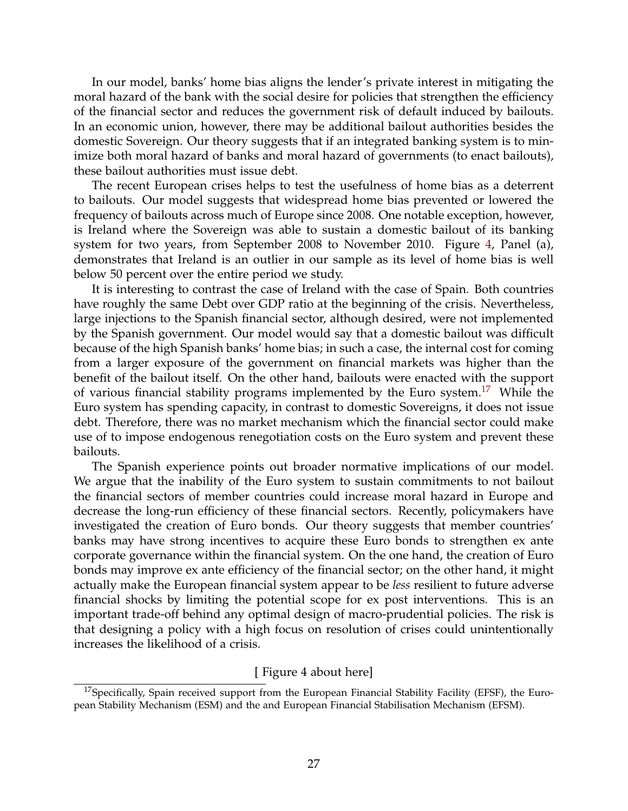In our model, banks' home bias aligns the lender's private interest in mitigating the moral hazard of the bank with the social desire for policies that strengthen the efficiency of the financial sector and reduces the government risk of default induced by bailouts. In an economic union, however, there may be additional bailout authorities besides the domestic Sovereign. Our theory suggests that if an integrated banking system is to minimize both moral hazard of banks and moral hazard of governments (to enact bailouts), these bailout authorities must issue debt.

The recent European crises helps to test the usefulness of home bias as a deterrent to bailouts. Our model suggests that widespread home bias prevented or lowered the frequency of bailouts across much of Europe since 2008. One notable exception, however, is Ireland where the Sovereign was able to sustain a domestic bailout of its banking system for two years, from September 2008 to November 2010. Figure [4,](#page-34-0) Panel (a), demonstrates that Ireland is an outlier in our sample as its level of home bias is well below 50 percent over the entire period we study.

It is interesting to contrast the case of Ireland with the case of Spain. Both countries have roughly the same Debt over GDP ratio at the beginning of the crisis. Nevertheless, large injections to the Spanish financial sector, although desired, were not implemented by the Spanish government. Our model would say that a domestic bailout was difficult because of the high Spanish banks' home bias; in such a case, the internal cost for coming from a larger exposure of the government on financial markets was higher than the benefit of the bailout itself. On the other hand, bailouts were enacted with the support of various financial stability programs implemented by the Euro system.<sup>[17](#page-28-0)</sup> While the Euro system has spending capacity, in contrast to domestic Sovereigns, it does not issue debt. Therefore, there was no market mechanism which the financial sector could make use of to impose endogenous renegotiation costs on the Euro system and prevent these bailouts.

The Spanish experience points out broader normative implications of our model. We argue that the inability of the Euro system to sustain commitments to not bailout the financial sectors of member countries could increase moral hazard in Europe and decrease the long-run efficiency of these financial sectors. Recently, policymakers have investigated the creation of Euro bonds. Our theory suggests that member countries' banks may have strong incentives to acquire these Euro bonds to strengthen ex ante corporate governance within the financial system. On the one hand, the creation of Euro bonds may improve ex ante efficiency of the financial sector; on the other hand, it might actually make the European financial system appear to be *less* resilient to future adverse financial shocks by limiting the potential scope for ex post interventions. This is an important trade-off behind any optimal design of macro-prudential policies. The risk is that designing a policy with a high focus on resolution of crises could unintentionally increases the likelihood of a crisis.

[ Figure 4 about here]

<span id="page-28-0"></span><sup>&</sup>lt;sup>17</sup>Specifically, Spain received support from the European Financial Stability Facility (EFSF), the European Stability Mechanism (ESM) and the and European Financial Stabilisation Mechanism (EFSM).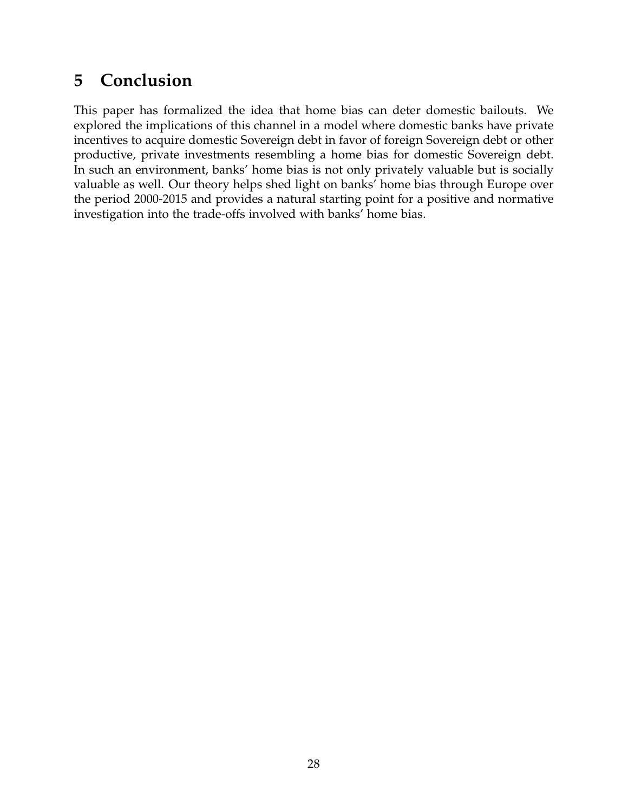## **5 Conclusion**

This paper has formalized the idea that home bias can deter domestic bailouts. We explored the implications of this channel in a model where domestic banks have private incentives to acquire domestic Sovereign debt in favor of foreign Sovereign debt or other productive, private investments resembling a home bias for domestic Sovereign debt. In such an environment, banks' home bias is not only privately valuable but is socially valuable as well. Our theory helps shed light on banks' home bias through Europe over the period 2000-2015 and provides a natural starting point for a positive and normative investigation into the trade-offs involved with banks' home bias.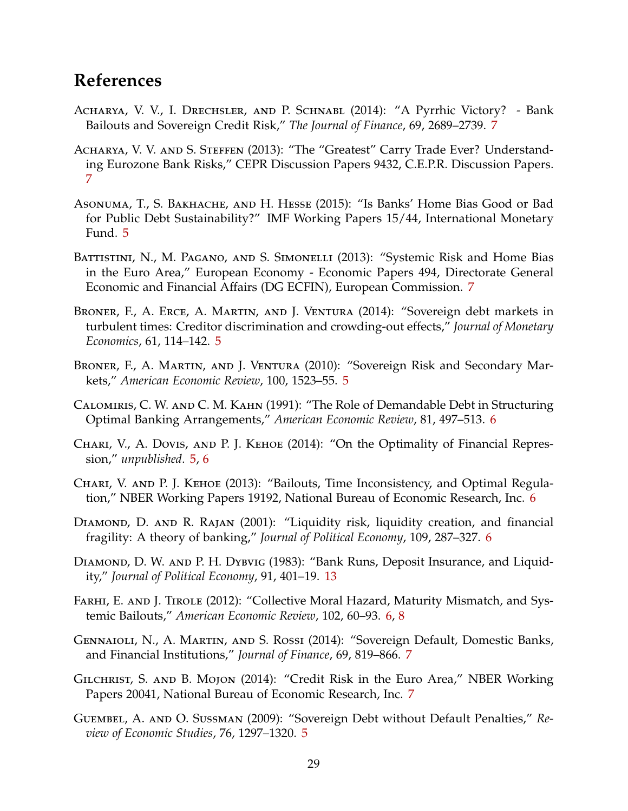## **References**

- <span id="page-30-9"></span>Acharya, V. V., I. Drechsler, and P. Schnabl (2014): "A Pyrrhic Victory? - Bank Bailouts and Sovereign Credit Risk," *The Journal of Finance*, 69, 2689–2739. [7](#page-8-1)
- <span id="page-30-13"></span>Acharya, V. V. and S. Steffen (2013): "The "Greatest" Carry Trade Ever? Understanding Eurozone Bank Risks," CEPR Discussion Papers 9432, C.E.P.R. Discussion Papers. [7](#page-8-1)
- <span id="page-30-2"></span>Asonuma, T., S. Bakhache, and H. Hesse (2015): "Is Banks' Home Bias Good or Bad for Public Debt Sustainability?" IMF Working Papers 15/44, International Monetary Fund. [5](#page-6-2)
- <span id="page-30-11"></span>BATTISTINI, N., M. PAGANO, AND S. SIMONELLI (2013): "Systemic Risk and Home Bias in the Euro Area," European Economy - Economic Papers 494, Directorate General Economic and Financial Affairs (DG ECFIN), European Commission. [7](#page-8-1)
- <span id="page-30-3"></span>Broner, F., A. Erce, A. Martin, and J. Ventura (2014): "Sovereign debt markets in turbulent times: Creditor discrimination and crowding-out effects," *Journal of Monetary Economics*, 61, 114–142. [5](#page-6-2)
- <span id="page-30-4"></span>BRONER, F., A. MARTIN, AND J. VENTURA (2010): "Sovereign Risk and Secondary Markets," *American Economic Review*, 100, 1523–55. [5](#page-6-2)
- <span id="page-30-5"></span>Calomiris, C. W. and C. M. Kahn (1991): "The Role of Demandable Debt in Structuring Optimal Banking Arrangements," *American Economic Review*, 81, 497–513. [6](#page-7-1)
- <span id="page-30-1"></span>Chari, V., A. Dovis, and P. J. Kehoe (2014): "On the Optimality of Financial Repression," *unpublished*. [5,](#page-6-2) [6](#page-7-1)
- <span id="page-30-8"></span>Chari, V. and P. J. Kehoe (2013): "Bailouts, Time Inconsistency, and Optimal Regulation," NBER Working Papers 19192, National Bureau of Economic Research, Inc. [6](#page-7-1)
- <span id="page-30-6"></span>DIAMOND, D. AND R. RAJAN (2001): "Liquidity risk, liquidity creation, and financial fragility: A theory of banking," *Journal of Political Economy*, 109, 287–327. [6](#page-7-1)
- <span id="page-30-14"></span>Diamond, D. W. and P. H. Dybvig (1983): "Bank Runs, Deposit Insurance, and Liquidity," *Journal of Political Economy*, 91, 401–19. [13](#page-14-3)
- <span id="page-30-7"></span>FARHI, E. AND J. TIROLE (2012): "Collective Moral Hazard, Maturity Mismatch, and Systemic Bailouts," *American Economic Review*, 102, 60–93. [6,](#page-7-1) [8](#page-9-1)
- <span id="page-30-10"></span>Gennaioli, N., A. Martin, and S. Rossi (2014): "Sovereign Default, Domestic Banks, and Financial Institutions," *Journal of Finance*, 69, 819–866. [7](#page-8-1)
- <span id="page-30-12"></span>Gilchrist, S. and B. Mojon (2014): "Credit Risk in the Euro Area," NBER Working Papers 20041, National Bureau of Economic Research, Inc. [7](#page-8-1)
- <span id="page-30-0"></span>Guembel, A. and O. Sussman (2009): "Sovereign Debt without Default Penalties," *Review of Economic Studies*, 76, 1297–1320. [5](#page-6-2)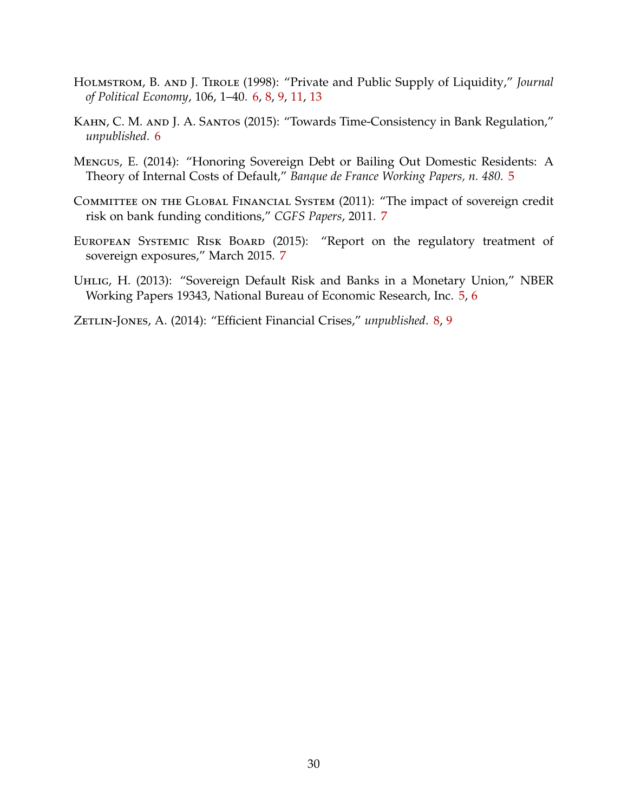- <span id="page-31-2"></span>Holmstrom, B. and J. Tirole (1998): "Private and Public Supply of Liquidity," *Journal of Political Economy*, 106, 1–40. [6,](#page-7-1) [8,](#page-9-1) [9,](#page-10-4) [11,](#page-12-4) [13](#page-14-3)
- <span id="page-31-3"></span>Kahn, C. M. and J. A. Santos (2015): "Towards Time-Consistency in Bank Regulation," *unpublished*. [6](#page-7-1)
- <span id="page-31-1"></span>Mengus, E. (2014): "Honoring Sovereign Debt or Bailing Out Domestic Residents: A Theory of Internal Costs of Default," *Banque de France Working Papers, n. 480*. [5](#page-6-2)
- <span id="page-31-4"></span>Committee on the Global Financial System (2011): "The impact of sovereign credit risk on bank funding conditions," *CGFS Papers*, 2011. [7](#page-8-1)
- <span id="page-31-5"></span>EUROPEAN SYSTEMIC RISK BOARD (2015): "Report on the regulatory treatment of sovereign exposures," March 2015. [7](#page-8-1)
- <span id="page-31-0"></span>Uhlig, H. (2013): "Sovereign Default Risk and Banks in a Monetary Union," NBER Working Papers 19343, National Bureau of Economic Research, Inc. [5,](#page-6-2) [6](#page-7-1)

<span id="page-31-6"></span>Zetlin-Jones, A. (2014): "Efficient Financial Crises," *unpublished*. [8,](#page-9-1) [9](#page-10-4)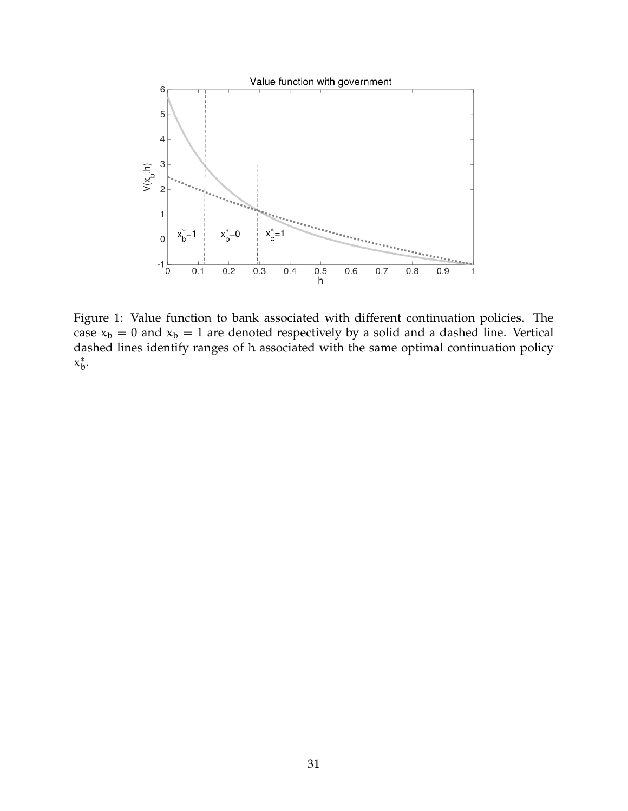<span id="page-32-0"></span>

Figure 1: Value function to bank associated with different continuation policies. The case  $x_b = 0$  and  $x_b = 1$  are denoted respectively by a solid and a dashed line. Vertical dashed lines identify ranges of h associated with the same optimal continuation policy x ∗ b .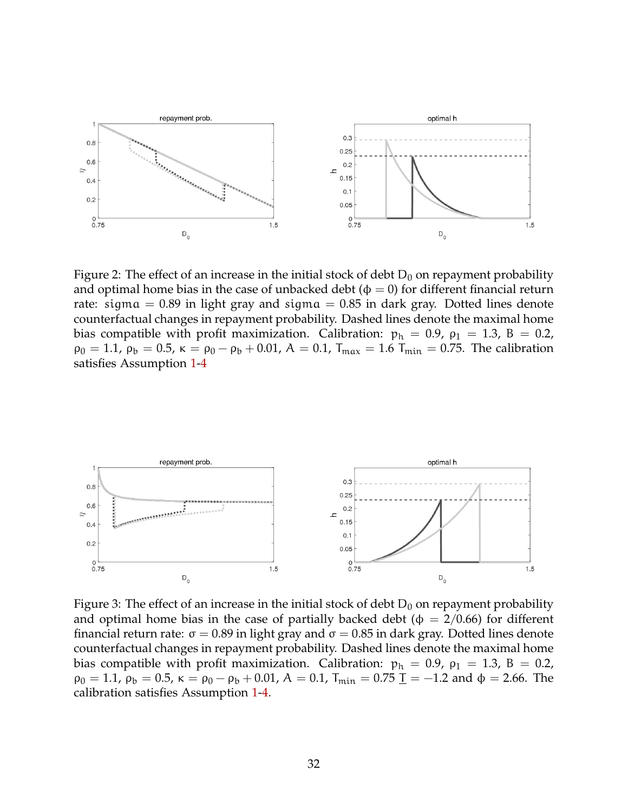<span id="page-33-0"></span>

Figure 2: The effect of an increase in the initial stock of debt  $D_0$  on repayment probability and optimal home bias in the case of unbacked debt ( $\phi = 0$ ) for different financial return rate: sigma  $= 0.89$  in light gray and sigma  $= 0.85$  in dark gray. Dotted lines denote counterfactual changes in repayment probability. Dashed lines denote the maximal home bias compatible with profit maximization. Calibration:  $p_h = 0.9$ ,  $p_1 = 1.3$ , B = 0.2,  $\rho_0 = 1.1$ ,  $\rho_b = 0.5$ ,  $\kappa = \rho_0 - \rho_b + 0.01$ ,  $A = 0.1$ ,  $T_{max} = 1.6$   $T_{min} = 0.75$ . The calibration satisfies Assumption [1-](#page-13-4)[4](#page-14-2)

<span id="page-33-1"></span>

Figure 3: The effect of an increase in the initial stock of debt  $D_0$  on repayment probability and optimal home bias in the case of partially backed debt ( $\phi = 2/0.66$ ) for different financial return rate:  $σ = 0.89$  in light gray and  $σ = 0.85$  in dark gray. Dotted lines denote counterfactual changes in repayment probability. Dashed lines denote the maximal home bias compatible with profit maximization. Calibration:  $p_h = 0.9$ ,  $\rho_1 = 1.3$ , B = 0.2,  $\rho_0 = 1.1$ ,  $\rho_b = 0.5$ ,  $\kappa = \rho_0 - \rho_b + 0.01$ ,  $A = 0.1$ ,  $T_{min} = 0.75$   $\underline{T} = -1.2$  and  $\phi = 2.66$ . The calibration satisfies Assumption [1-](#page-13-4)[4.](#page-14-2)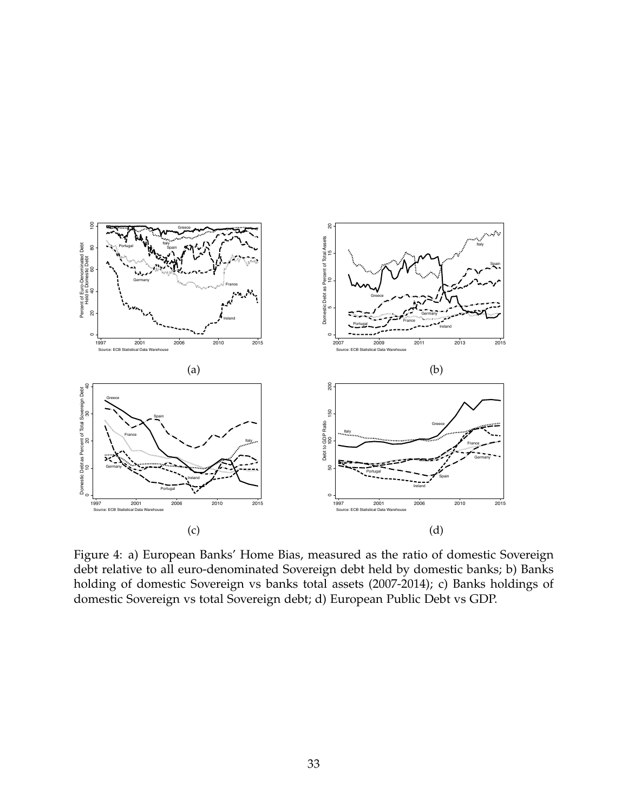<span id="page-34-0"></span>

Figure 4: a) European Banks' Home Bias, measured as the ratio of domestic Sovereign debt relative to all euro-denominated Sovereign debt held by domestic banks; b) Banks holding of domestic Sovereign vs banks total assets (2007-2014); c) Banks holdings of domestic Sovereign vs total Sovereign debt; d) European Public Debt vs GDP.